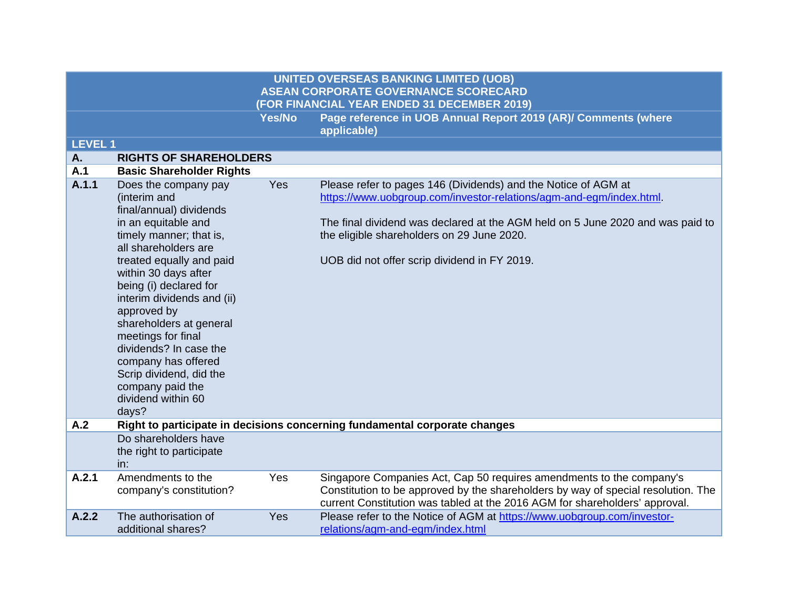| <b>LEVEL1</b> |                                                                                                                                                                                                                                                                                                                                                                                                                                                      |     |                                                                                                                                                                                                                                                                                                                       |
|---------------|------------------------------------------------------------------------------------------------------------------------------------------------------------------------------------------------------------------------------------------------------------------------------------------------------------------------------------------------------------------------------------------------------------------------------------------------------|-----|-----------------------------------------------------------------------------------------------------------------------------------------------------------------------------------------------------------------------------------------------------------------------------------------------------------------------|
| A.            | <b>RIGHTS OF SHAREHOLDERS</b>                                                                                                                                                                                                                                                                                                                                                                                                                        |     |                                                                                                                                                                                                                                                                                                                       |
| A.1           | <b>Basic Shareholder Rights</b>                                                                                                                                                                                                                                                                                                                                                                                                                      |     |                                                                                                                                                                                                                                                                                                                       |
| A.1.1         | Does the company pay<br>(interim and<br>final/annual) dividends<br>in an equitable and<br>timely manner; that is,<br>all shareholders are<br>treated equally and paid<br>within 30 days after<br>being (i) declared for<br>interim dividends and (ii)<br>approved by<br>shareholders at general<br>meetings for final<br>dividends? In case the<br>company has offered<br>Scrip dividend, did the<br>company paid the<br>dividend within 60<br>days? | Yes | Please refer to pages 146 (Dividends) and the Notice of AGM at<br>https://www.uobgroup.com/investor-relations/agm-and-egm/index.html.<br>The final dividend was declared at the AGM held on 5 June 2020 and was paid to<br>the eligible shareholders on 29 June 2020.<br>UOB did not offer scrip dividend in FY 2019. |
| A.2           |                                                                                                                                                                                                                                                                                                                                                                                                                                                      |     | Right to participate in decisions concerning fundamental corporate changes                                                                                                                                                                                                                                            |
|               | Do shareholders have<br>the right to participate<br>in:                                                                                                                                                                                                                                                                                                                                                                                              |     |                                                                                                                                                                                                                                                                                                                       |
| A.2.1         | Amendments to the<br>company's constitution?                                                                                                                                                                                                                                                                                                                                                                                                         | Yes | Singapore Companies Act, Cap 50 requires amendments to the company's<br>Constitution to be approved by the shareholders by way of special resolution. The<br>current Constitution was tabled at the 2016 AGM for shareholders' approval.                                                                              |
| A.2.2         | The authorisation of<br>additional shares?                                                                                                                                                                                                                                                                                                                                                                                                           | Yes | Please refer to the Notice of AGM at https://www.uobgroup.com/investor-<br>relations/agm-and-egm/index.html                                                                                                                                                                                                           |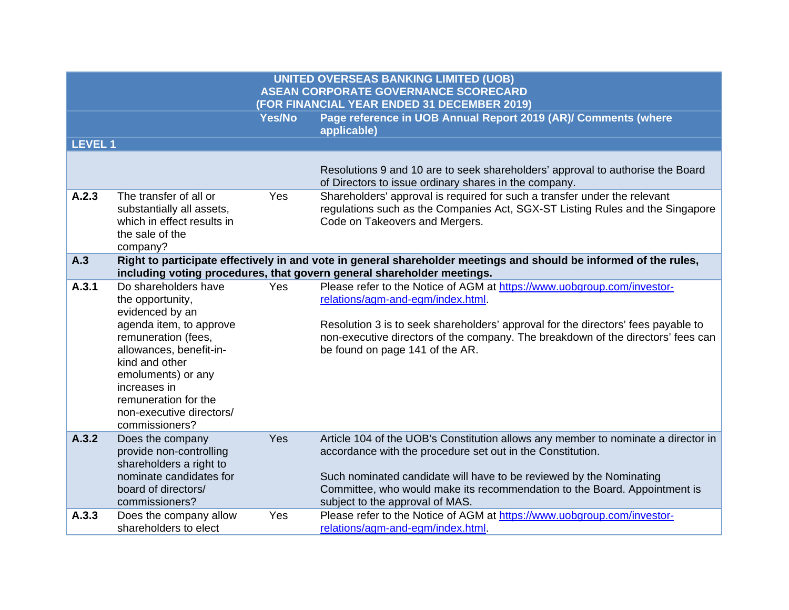|               |                                                                                                                                                                                                                                                                        |               | <b>UNITED OVERSEAS BANKING LIMITED (UOB)</b><br><b>ASEAN CORPORATE GOVERNANCE SCORECARD</b><br>(FOR FINANCIAL YEAR ENDED 31 DECEMBER 2019)                                                                                                                                                                                             |
|---------------|------------------------------------------------------------------------------------------------------------------------------------------------------------------------------------------------------------------------------------------------------------------------|---------------|----------------------------------------------------------------------------------------------------------------------------------------------------------------------------------------------------------------------------------------------------------------------------------------------------------------------------------------|
|               |                                                                                                                                                                                                                                                                        | <b>Yes/No</b> | Page reference in UOB Annual Report 2019 (AR)/ Comments (where<br>applicable)                                                                                                                                                                                                                                                          |
| <b>LEVEL1</b> |                                                                                                                                                                                                                                                                        |               |                                                                                                                                                                                                                                                                                                                                        |
|               |                                                                                                                                                                                                                                                                        |               | Resolutions 9 and 10 are to seek shareholders' approval to authorise the Board<br>of Directors to issue ordinary shares in the company.                                                                                                                                                                                                |
| A.2.3         | The transfer of all or<br>substantially all assets,<br>which in effect results in<br>the sale of the<br>company?                                                                                                                                                       | Yes           | Shareholders' approval is required for such a transfer under the relevant<br>regulations such as the Companies Act, SGX-ST Listing Rules and the Singapore<br>Code on Takeovers and Mergers.                                                                                                                                           |
| A.3           |                                                                                                                                                                                                                                                                        |               | Right to participate effectively in and vote in general shareholder meetings and should be informed of the rules,<br>including voting procedures, that govern general shareholder meetings.                                                                                                                                            |
| A.3.1         | Do shareholders have<br>the opportunity,<br>evidenced by an<br>agenda item, to approve<br>remuneration (fees,<br>allowances, benefit-in-<br>kind and other<br>emoluments) or any<br>increases in<br>remuneration for the<br>non-executive directors/<br>commissioners? | <b>Yes</b>    | Please refer to the Notice of AGM at https://www.uobgroup.com/investor-<br>relations/agm-and-egm/index.html.<br>Resolution 3 is to seek shareholders' approval for the directors' fees payable to<br>non-executive directors of the company. The breakdown of the directors' fees can<br>be found on page 141 of the AR.               |
| A.3.2         | Does the company<br>provide non-controlling<br>shareholders a right to<br>nominate candidates for<br>board of directors/<br>commissioners?                                                                                                                             | Yes           | Article 104 of the UOB's Constitution allows any member to nominate a director in<br>accordance with the procedure set out in the Constitution.<br>Such nominated candidate will have to be reviewed by the Nominating<br>Committee, who would make its recommendation to the Board. Appointment is<br>subject to the approval of MAS. |
| A.3.3         | Does the company allow<br>shareholders to elect                                                                                                                                                                                                                        | Yes           | Please refer to the Notice of AGM at https://www.uobgroup.com/investor-<br>relations/agm-and-egm/index.html.                                                                                                                                                                                                                           |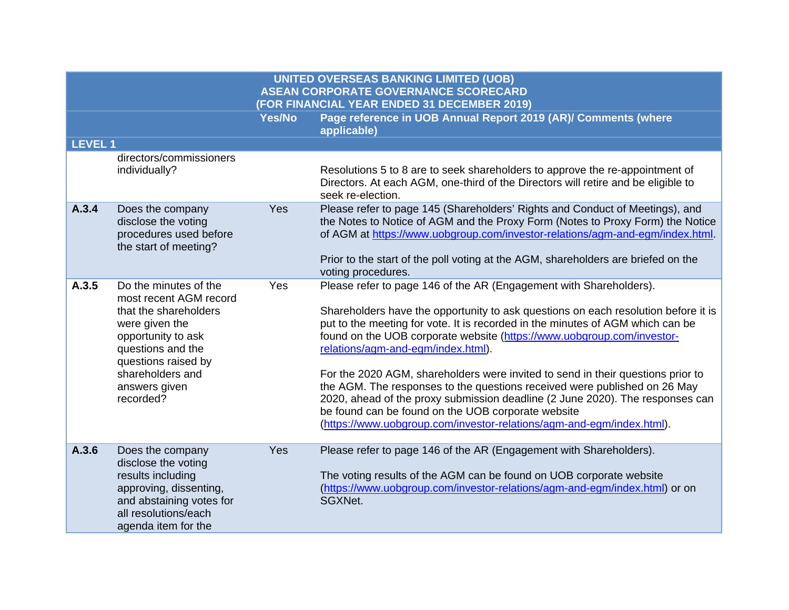|               |                                                                                                                                                                                                                | Yes/No | Page reference in UOB Annual Report 2019 (AR)/ Comments (where<br>applicable)                                                                                                                                                                                                                                                                                                                                                                                                                                                                                                                                                                                                                                                              |
|---------------|----------------------------------------------------------------------------------------------------------------------------------------------------------------------------------------------------------------|--------|--------------------------------------------------------------------------------------------------------------------------------------------------------------------------------------------------------------------------------------------------------------------------------------------------------------------------------------------------------------------------------------------------------------------------------------------------------------------------------------------------------------------------------------------------------------------------------------------------------------------------------------------------------------------------------------------------------------------------------------------|
| <b>LEVEL1</b> |                                                                                                                                                                                                                |        |                                                                                                                                                                                                                                                                                                                                                                                                                                                                                                                                                                                                                                                                                                                                            |
|               | directors/commissioners<br>individually?                                                                                                                                                                       |        | Resolutions 5 to 8 are to seek shareholders to approve the re-appointment of<br>Directors. At each AGM, one-third of the Directors will retire and be eligible to<br>seek re-election.                                                                                                                                                                                                                                                                                                                                                                                                                                                                                                                                                     |
| A.3.4         | Does the company<br>disclose the voting<br>procedures used before<br>the start of meeting?                                                                                                                     | Yes    | Please refer to page 145 (Shareholders' Rights and Conduct of Meetings), and<br>the Notes to Notice of AGM and the Proxy Form (Notes to Proxy Form) the Notice<br>of AGM at https://www.uobgroup.com/investor-relations/agm-and-egm/index.html<br>Prior to the start of the poll voting at the AGM, shareholders are briefed on the<br>voting procedures.                                                                                                                                                                                                                                                                                                                                                                                  |
| A.3.5         | Do the minutes of the<br>most recent AGM record<br>that the shareholders<br>were given the<br>opportunity to ask<br>questions and the<br>questions raised by<br>shareholders and<br>answers given<br>recorded? | Yes    | Please refer to page 146 of the AR (Engagement with Shareholders).<br>Shareholders have the opportunity to ask questions on each resolution before it is<br>put to the meeting for vote. It is recorded in the minutes of AGM which can be<br>found on the UOB corporate website (https://www.uobgroup.com/investor-<br>relations/agm-and-egm/index.html).<br>For the 2020 AGM, shareholders were invited to send in their questions prior to<br>the AGM. The responses to the questions received were published on 26 May<br>2020, ahead of the proxy submission deadline (2 June 2020). The responses can<br>be found can be found on the UOB corporate website<br>(https://www.uobgroup.com/investor-relations/agm-and-egm/index.html). |
| A.3.6         | Does the company<br>disclose the voting<br>results including<br>approving, dissenting,<br>and abstaining votes for<br>all resolutions/each                                                                     | Yes    | Please refer to page 146 of the AR (Engagement with Shareholders).<br>The voting results of the AGM can be found on UOB corporate website<br>(https://www.uobgroup.com/investor-relations/agm-and-egm/index.html) or on<br>SGXNet.                                                                                                                                                                                                                                                                                                                                                                                                                                                                                                         |

agenda item for the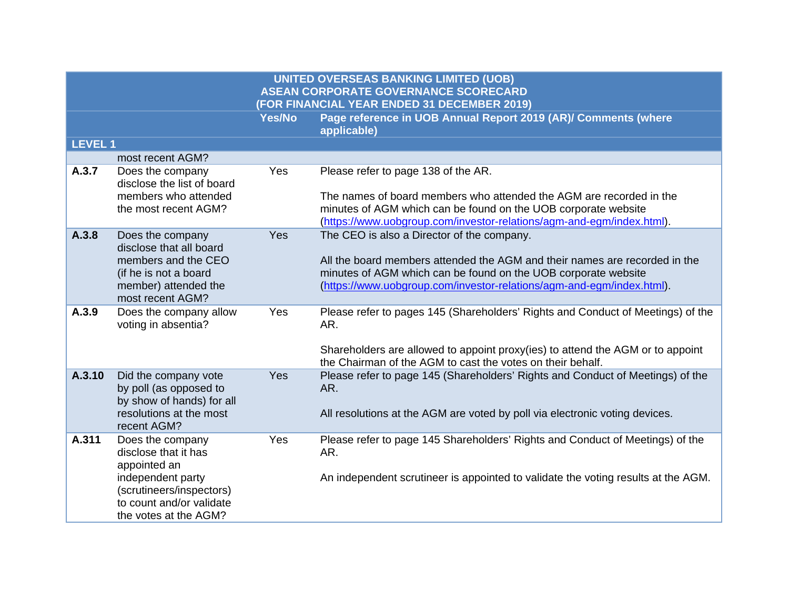**LEVEL 1**

| LEVEL I |                                                                                                                                                                |     |                                                                                                                                                                                                                                                                     |
|---------|----------------------------------------------------------------------------------------------------------------------------------------------------------------|-----|---------------------------------------------------------------------------------------------------------------------------------------------------------------------------------------------------------------------------------------------------------------------|
|         | most recent AGM?                                                                                                                                               |     |                                                                                                                                                                                                                                                                     |
| A.3.7   | Does the company<br>disclose the list of board<br>members who attended<br>the most recent AGM?                                                                 | Yes | Please refer to page 138 of the AR.<br>The names of board members who attended the AGM are recorded in the<br>minutes of AGM which can be found on the UOB corporate website<br>(https://www.uobgroup.com/investor-relations/agm-and-egm/index.html).               |
| A.3.8   | Does the company<br>disclose that all board<br>members and the CEO<br>(if he is not a board<br>member) attended the<br>most recent AGM?                        | Yes | The CEO is also a Director of the company.<br>All the board members attended the AGM and their names are recorded in the<br>minutes of AGM which can be found on the UOB corporate website<br>(https://www.uobgroup.com/investor-relations/agm-and-egm/index.html). |
| A.3.9   | Does the company allow<br>voting in absentia?                                                                                                                  | Yes | Please refer to pages 145 (Shareholders' Rights and Conduct of Meetings) of the<br>AR.<br>Shareholders are allowed to appoint proxy(ies) to attend the AGM or to appoint<br>the Chairman of the AGM to cast the votes on their behalf.                              |
| A.3.10  | Did the company vote<br>by poll (as opposed to<br>by show of hands) for all<br>resolutions at the most<br>recent AGM?                                          | Yes | Please refer to page 145 (Shareholders' Rights and Conduct of Meetings) of the<br>AR.<br>All resolutions at the AGM are voted by poll via electronic voting devices.                                                                                                |
| A.311   | Does the company<br>disclose that it has<br>appointed an<br>independent party<br>(scrutineers/inspectors)<br>to count and/or validate<br>the votes at the AGM? | Yes | Please refer to page 145 Shareholders' Rights and Conduct of Meetings) of the<br>AR.<br>An independent scrutineer is appointed to validate the voting results at the AGM.                                                                                           |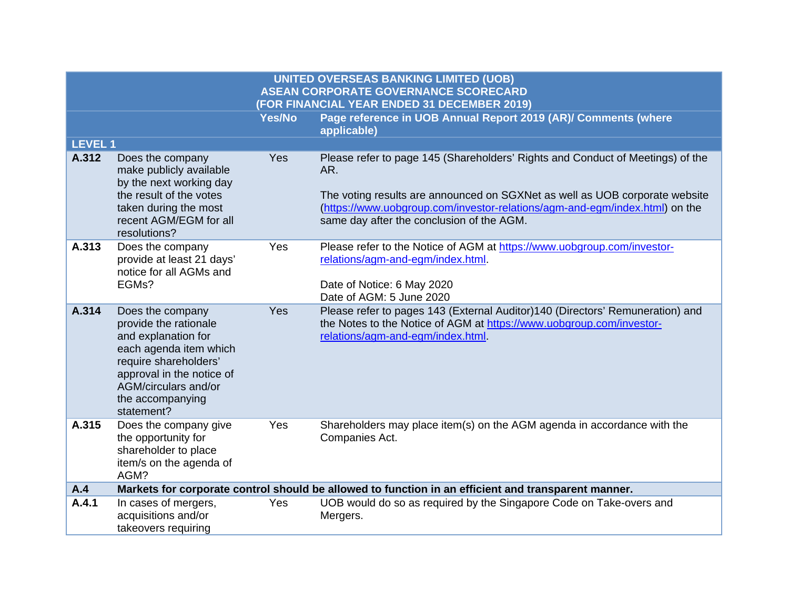|                |                                                                                                                                                                                                            |               | <b>UNITED OVERSEAS BANKING LIMITED (UOB)</b><br><b>ASEAN CORPORATE GOVERNANCE SCORECARD</b>                                                                                                                                                                                                      |
|----------------|------------------------------------------------------------------------------------------------------------------------------------------------------------------------------------------------------------|---------------|--------------------------------------------------------------------------------------------------------------------------------------------------------------------------------------------------------------------------------------------------------------------------------------------------|
|                |                                                                                                                                                                                                            |               | (FOR FINANCIAL YEAR ENDED 31 DECEMBER 2019)                                                                                                                                                                                                                                                      |
|                |                                                                                                                                                                                                            | <b>Yes/No</b> | Page reference in UOB Annual Report 2019 (AR)/ Comments (where<br>applicable)                                                                                                                                                                                                                    |
| <b>LEVEL 1</b> |                                                                                                                                                                                                            |               |                                                                                                                                                                                                                                                                                                  |
| A.312          | Does the company<br>make publicly available<br>by the next working day<br>the result of the votes<br>taken during the most<br>recent AGM/EGM for all<br>resolutions?                                       | Yes           | Please refer to page 145 (Shareholders' Rights and Conduct of Meetings) of the<br>AR.<br>The voting results are announced on SGXNet as well as UOB corporate website<br>(https://www.uobgroup.com/investor-relations/agm-and-egm/index.html) on the<br>same day after the conclusion of the AGM. |
| A.313          | Does the company<br>provide at least 21 days'<br>notice for all AGMs and<br>EGMs?                                                                                                                          | Yes           | Please refer to the Notice of AGM at https://www.uobgroup.com/investor-<br>relations/agm-and-egm/index.html.<br>Date of Notice: 6 May 2020<br>Date of AGM: 5 June 2020                                                                                                                           |
| A.314          | Does the company<br>provide the rationale<br>and explanation for<br>each agenda item which<br>require shareholders'<br>approval in the notice of<br>AGM/circulars and/or<br>the accompanying<br>statement? | Yes           | Please refer to pages 143 (External Auditor)140 (Directors' Remuneration) and<br>the Notes to the Notice of AGM at https://www.uobgroup.com/investor-<br>relations/agm-and-egm/index.html                                                                                                        |
| A.315          | Does the company give<br>the opportunity for<br>shareholder to place<br>item/s on the agenda of<br>AGM?                                                                                                    | Yes           | Shareholders may place item(s) on the AGM agenda in accordance with the<br>Companies Act.                                                                                                                                                                                                        |
| A.4            |                                                                                                                                                                                                            |               | Markets for corporate control should be allowed to function in an efficient and transparent manner.                                                                                                                                                                                              |
| A.4.1          | In cases of mergers,<br>acquisitions and/or<br>takeovers requiring                                                                                                                                         | Yes           | UOB would do so as required by the Singapore Code on Take-overs and<br>Mergers.                                                                                                                                                                                                                  |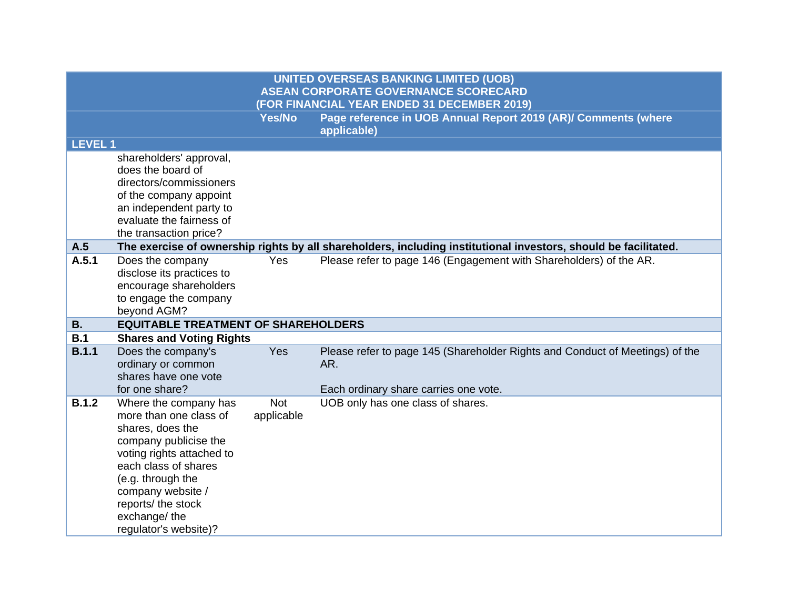|                |                                                                                                                                                                                                                                                            |                          | <b>UNITED OVERSEAS BANKING LIMITED (UOB)</b><br><b>ASEAN CORPORATE GOVERNANCE SCORECARD</b><br>(FOR FINANCIAL YEAR ENDED 31 DECEMBER 2019) |
|----------------|------------------------------------------------------------------------------------------------------------------------------------------------------------------------------------------------------------------------------------------------------------|--------------------------|--------------------------------------------------------------------------------------------------------------------------------------------|
|                |                                                                                                                                                                                                                                                            | <b>Yes/No</b>            | Page reference in UOB Annual Report 2019 (AR)/ Comments (where<br>applicable)                                                              |
| <b>LEVEL 1</b> |                                                                                                                                                                                                                                                            |                          |                                                                                                                                            |
|                | shareholders' approval,<br>does the board of<br>directors/commissioners<br>of the company appoint<br>an independent party to<br>evaluate the fairness of<br>the transaction price?                                                                         |                          |                                                                                                                                            |
| A.5            |                                                                                                                                                                                                                                                            |                          | The exercise of ownership rights by all shareholders, including institutional investors, should be facilitated.                            |
| A.5.1          | Does the company<br>disclose its practices to<br>encourage shareholders<br>to engage the company<br>beyond AGM?                                                                                                                                            | Yes                      | Please refer to page 146 (Engagement with Shareholders) of the AR.                                                                         |
| <b>B.</b>      | <b>EQUITABLE TREATMENT OF SHAREHOLDERS</b>                                                                                                                                                                                                                 |                          |                                                                                                                                            |
| B.1            | <b>Shares and Voting Rights</b>                                                                                                                                                                                                                            |                          |                                                                                                                                            |
| <b>B.1.1</b>   | Does the company's<br>ordinary or common<br>shares have one vote<br>for one share?                                                                                                                                                                         | Yes                      | Please refer to page 145 (Shareholder Rights and Conduct of Meetings) of the<br>AR.<br>Each ordinary share carries one vote.               |
| <b>B.1.2</b>   | Where the company has<br>more than one class of<br>shares, does the<br>company publicise the<br>voting rights attached to<br>each class of shares<br>(e.g. through the<br>company website /<br>reports/ the stock<br>exchange/the<br>regulator's website)? | <b>Not</b><br>applicable | UOB only has one class of shares.                                                                                                          |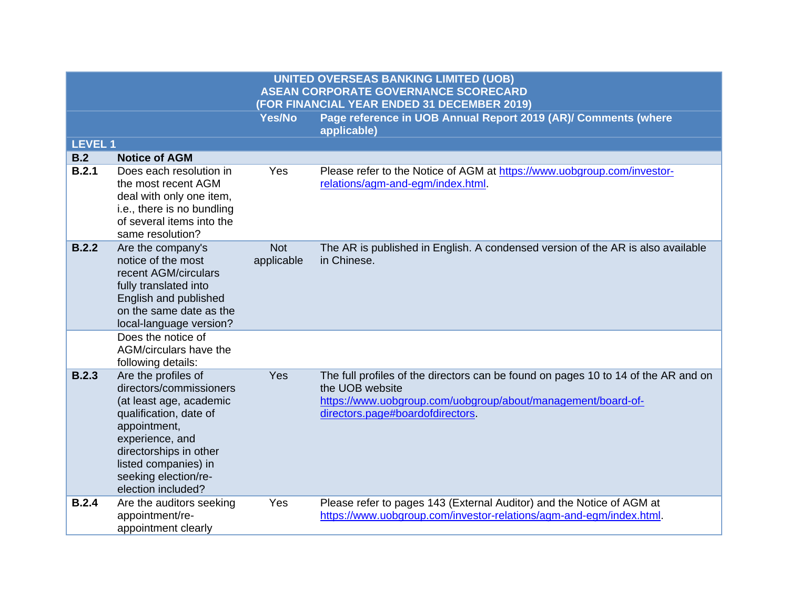|                |                                                                                                                                                                                                                                        |                          | <b>UNITED OVERSEAS BANKING LIMITED (UOB)</b><br><b>ASEAN CORPORATE GOVERNANCE SCORECARD</b>                                                                                                              |
|----------------|----------------------------------------------------------------------------------------------------------------------------------------------------------------------------------------------------------------------------------------|--------------------------|----------------------------------------------------------------------------------------------------------------------------------------------------------------------------------------------------------|
|                |                                                                                                                                                                                                                                        |                          | (FOR FINANCIAL YEAR ENDED 31 DECEMBER 2019)                                                                                                                                                              |
|                |                                                                                                                                                                                                                                        | Yes/No                   | Page reference in UOB Annual Report 2019 (AR)/ Comments (where<br>applicable)                                                                                                                            |
| <b>LEVEL 1</b> |                                                                                                                                                                                                                                        |                          |                                                                                                                                                                                                          |
| B.2            | <b>Notice of AGM</b>                                                                                                                                                                                                                   |                          |                                                                                                                                                                                                          |
| B.2.1          | Does each resolution in<br>the most recent AGM<br>deal with only one item,<br>i.e., there is no bundling<br>of several items into the<br>same resolution?                                                                              | Yes                      | Please refer to the Notice of AGM at https://www.uobgroup.com/investor-<br>relations/agm-and-egm/index.html.                                                                                             |
| B.2.2          | Are the company's<br>notice of the most<br>recent AGM/circulars<br>fully translated into<br>English and published<br>on the same date as the<br>local-language version?                                                                | <b>Not</b><br>applicable | The AR is published in English. A condensed version of the AR is also available<br>in Chinese.                                                                                                           |
|                | Does the notice of<br>AGM/circulars have the<br>following details:                                                                                                                                                                     |                          |                                                                                                                                                                                                          |
| B.2.3          | Are the profiles of<br>directors/commissioners<br>(at least age, academic<br>qualification, date of<br>appointment,<br>experience, and<br>directorships in other<br>listed companies) in<br>seeking election/re-<br>election included? | Yes                      | The full profiles of the directors can be found on pages 10 to 14 of the AR and on<br>the UOB website<br>https://www.uobgroup.com/uobgroup/about/management/board-of-<br>directors.page#boardofdirectors |
| B.2.4          | Are the auditors seeking<br>appointment/re-<br>appointment clearly                                                                                                                                                                     | Yes                      | Please refer to pages 143 (External Auditor) and the Notice of AGM at<br>https://www.uobgroup.com/investor-relations/agm-and-egm/index.html.                                                             |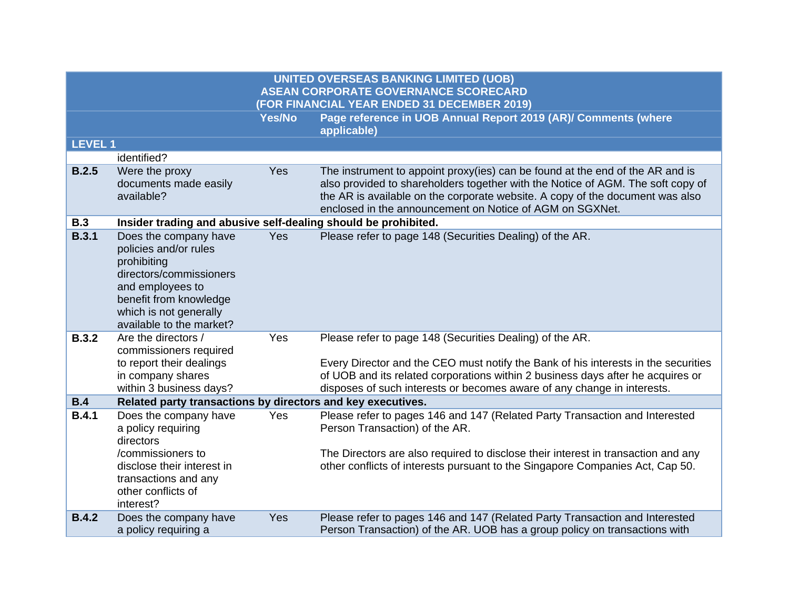|               |                                                                                                                                                                                              |               | <b>UNITED OVERSEAS BANKING LIMITED (UOB)</b><br><b>ASEAN CORPORATE GOVERNANCE SCORECARD</b><br>(FOR FINANCIAL YEAR ENDED 31 DECEMBER 2019)                                                                                                                                                                    |
|---------------|----------------------------------------------------------------------------------------------------------------------------------------------------------------------------------------------|---------------|---------------------------------------------------------------------------------------------------------------------------------------------------------------------------------------------------------------------------------------------------------------------------------------------------------------|
|               |                                                                                                                                                                                              | <b>Yes/No</b> | Page reference in UOB Annual Report 2019 (AR)/ Comments (where<br>applicable)                                                                                                                                                                                                                                 |
| <b>LEVEL1</b> |                                                                                                                                                                                              |               |                                                                                                                                                                                                                                                                                                               |
|               | identified?                                                                                                                                                                                  |               |                                                                                                                                                                                                                                                                                                               |
| B.2.5         | Were the proxy<br>documents made easily<br>available?                                                                                                                                        | Yes           | The instrument to appoint proxy(ies) can be found at the end of the AR and is<br>also provided to shareholders together with the Notice of AGM. The soft copy of<br>the AR is available on the corporate website. A copy of the document was also<br>enclosed in the announcement on Notice of AGM on SGXNet. |
| <b>B.3</b>    | Insider trading and abusive self-dealing should be prohibited.                                                                                                                               |               |                                                                                                                                                                                                                                                                                                               |
| <b>B.3.1</b>  | Does the company have<br>policies and/or rules<br>prohibiting<br>directors/commissioners<br>and employees to<br>benefit from knowledge<br>which is not generally<br>available to the market? | Yes           | Please refer to page 148 (Securities Dealing) of the AR.                                                                                                                                                                                                                                                      |
| <b>B.3.2</b>  | Are the directors /<br>commissioners required<br>to report their dealings<br>in company shares<br>within 3 business days?                                                                    | Yes           | Please refer to page 148 (Securities Dealing) of the AR.<br>Every Director and the CEO must notify the Bank of his interests in the securities<br>of UOB and its related corporations within 2 business days after he acquires or<br>disposes of such interests or becomes aware of any change in interests.  |
| B.4           | Related party transactions by directors and key executives.                                                                                                                                  |               |                                                                                                                                                                                                                                                                                                               |
| <b>B.4.1</b>  | Does the company have<br>a policy requiring<br>directors<br>/commissioners to<br>disclose their interest in<br>transactions and any<br>other conflicts of<br>interest?                       | <b>Yes</b>    | Please refer to pages 146 and 147 (Related Party Transaction and Interested<br>Person Transaction) of the AR.<br>The Directors are also required to disclose their interest in transaction and any<br>other conflicts of interests pursuant to the Singapore Companies Act, Cap 50.                           |
| <b>B.4.2</b>  | Does the company have<br>a policy requiring a                                                                                                                                                | Yes           | Please refer to pages 146 and 147 (Related Party Transaction and Interested<br>Person Transaction) of the AR. UOB has a group policy on transactions with                                                                                                                                                     |
|               |                                                                                                                                                                                              |               |                                                                                                                                                                                                                                                                                                               |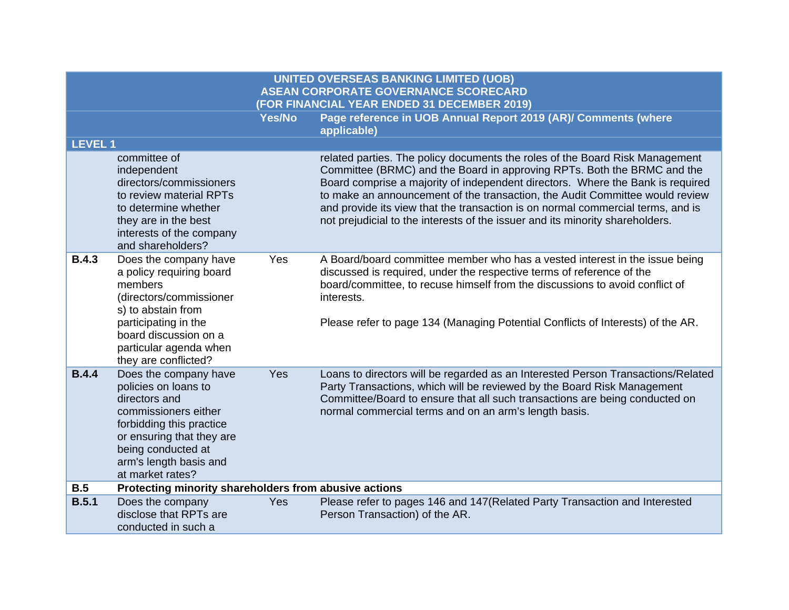|                |                                                                                                                                                                                                                     | Yes/No     | Page reference in UOB Annual Report 2019 (AR)/ Comments (where<br>applicable)                                                                                                                                                                                                                                                                                                                                                                                                                 |
|----------------|---------------------------------------------------------------------------------------------------------------------------------------------------------------------------------------------------------------------|------------|-----------------------------------------------------------------------------------------------------------------------------------------------------------------------------------------------------------------------------------------------------------------------------------------------------------------------------------------------------------------------------------------------------------------------------------------------------------------------------------------------|
| <b>LEVEL 1</b> |                                                                                                                                                                                                                     |            |                                                                                                                                                                                                                                                                                                                                                                                                                                                                                               |
|                | committee of<br>independent<br>directors/commissioners<br>to review material RPTs<br>to determine whether<br>they are in the best<br>interests of the company<br>and shareholders?                                  |            | related parties. The policy documents the roles of the Board Risk Management<br>Committee (BRMC) and the Board in approving RPTs. Both the BRMC and the<br>Board comprise a majority of independent directors. Where the Bank is required<br>to make an announcement of the transaction, the Audit Committee would review<br>and provide its view that the transaction is on normal commercial terms, and is<br>not prejudicial to the interests of the issuer and its minority shareholders. |
| <b>B.4.3</b>   | Does the company have<br>a policy requiring board<br>members<br>(directors/commissioner<br>s) to abstain from<br>participating in the<br>board discussion on a<br>particular agenda when<br>they are conflicted?    | Yes        | A Board/board committee member who has a vested interest in the issue being<br>discussed is required, under the respective terms of reference of the<br>board/committee, to recuse himself from the discussions to avoid conflict of<br>interests.<br>Please refer to page 134 (Managing Potential Conflicts of Interests) of the AR.                                                                                                                                                         |
| <b>B.4.4</b>   | Does the company have<br>policies on loans to<br>directors and<br>commissioners either<br>forbidding this practice<br>or ensuring that they are<br>being conducted at<br>arm's length basis and<br>at market rates? | Yes        | Loans to directors will be regarded as an Interested Person Transactions/Related<br>Party Transactions, which will be reviewed by the Board Risk Management<br>Committee/Board to ensure that all such transactions are being conducted on<br>normal commercial terms and on an arm's length basis.                                                                                                                                                                                           |
| <b>B.5</b>     | Protecting minority shareholders from abusive actions                                                                                                                                                               |            |                                                                                                                                                                                                                                                                                                                                                                                                                                                                                               |
| B.5.1          | Does the company<br>disclose that RPTs are                                                                                                                                                                          | <b>Yes</b> | Please refer to pages 146 and 147 (Related Party Transaction and Interested<br>Person Transaction) of the AR.                                                                                                                                                                                                                                                                                                                                                                                 |

conducted in such a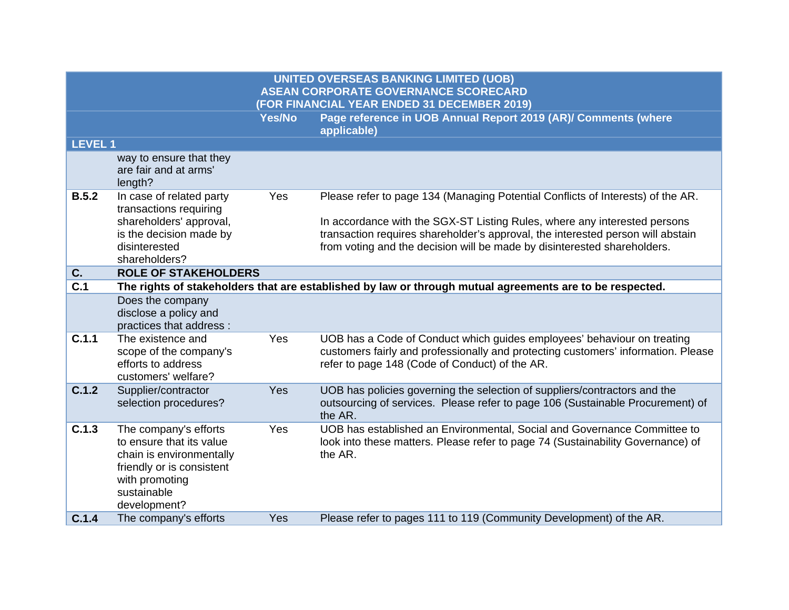| <b>LEVEL1</b> |                                                                                                                                                             |            |                                                                                                                                                                                                                                                                                                                             |
|---------------|-------------------------------------------------------------------------------------------------------------------------------------------------------------|------------|-----------------------------------------------------------------------------------------------------------------------------------------------------------------------------------------------------------------------------------------------------------------------------------------------------------------------------|
|               | way to ensure that they<br>are fair and at arms'<br>length?                                                                                                 |            |                                                                                                                                                                                                                                                                                                                             |
| B.5.2         | In case of related party<br>transactions requiring<br>shareholders' approval,<br>is the decision made by<br>disinterested<br>shareholders?                  | Yes        | Please refer to page 134 (Managing Potential Conflicts of Interests) of the AR.<br>In accordance with the SGX-ST Listing Rules, where any interested persons<br>transaction requires shareholder's approval, the interested person will abstain<br>from voting and the decision will be made by disinterested shareholders. |
| C.            | <b>ROLE OF STAKEHOLDERS</b>                                                                                                                                 |            |                                                                                                                                                                                                                                                                                                                             |
| C.1           |                                                                                                                                                             |            | The rights of stakeholders that are established by law or through mutual agreements are to be respected.                                                                                                                                                                                                                    |
|               | Does the company<br>disclose a policy and<br>practices that address :                                                                                       |            |                                                                                                                                                                                                                                                                                                                             |
| C.1.1         | The existence and<br>scope of the company's<br>efforts to address<br>customers' welfare?                                                                    | Yes        | UOB has a Code of Conduct which guides employees' behaviour on treating<br>customers fairly and professionally and protecting customers' information. Please<br>refer to page 148 (Code of Conduct) of the AR.                                                                                                              |
| C.1.2         | Supplier/contractor<br>selection procedures?                                                                                                                | <b>Yes</b> | UOB has policies governing the selection of suppliers/contractors and the<br>outsourcing of services. Please refer to page 106 (Sustainable Procurement) of<br>the AR.                                                                                                                                                      |
| C.1.3         | The company's efforts<br>to ensure that its value<br>chain is environmentally<br>friendly or is consistent<br>with promoting<br>sustainable<br>development? | Yes        | UOB has established an Environmental, Social and Governance Committee to<br>look into these matters. Please refer to page 74 (Sustainability Governance) of<br>the AR.                                                                                                                                                      |
| C.1.4         | The company's efforts                                                                                                                                       | Yes        | Please refer to pages 111 to 119 (Community Development) of the AR.                                                                                                                                                                                                                                                         |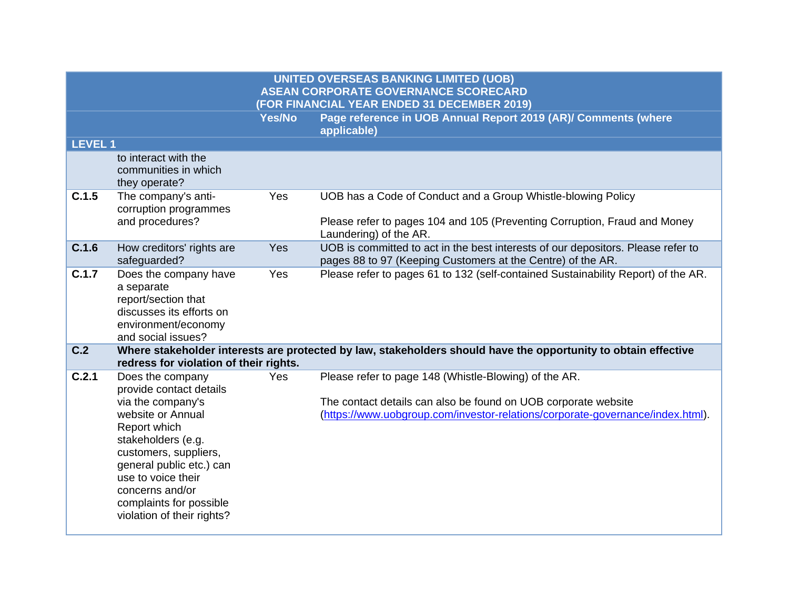| <b>LEVEL 1</b> |                                                                                                                                                                                                                                                                                    |     |                                                                                                                                                                                                           |
|----------------|------------------------------------------------------------------------------------------------------------------------------------------------------------------------------------------------------------------------------------------------------------------------------------|-----|-----------------------------------------------------------------------------------------------------------------------------------------------------------------------------------------------------------|
|                | to interact with the<br>communities in which<br>they operate?                                                                                                                                                                                                                      |     |                                                                                                                                                                                                           |
| C.1.5          | The company's anti-<br>corruption programmes<br>and procedures?                                                                                                                                                                                                                    | Yes | UOB has a Code of Conduct and a Group Whistle-blowing Policy<br>Please refer to pages 104 and 105 (Preventing Corruption, Fraud and Money<br>Laundering) of the AR.                                       |
| C.1.6          | How creditors' rights are<br>safeguarded?                                                                                                                                                                                                                                          | Yes | UOB is committed to act in the best interests of our depositors. Please refer to<br>pages 88 to 97 (Keeping Customers at the Centre) of the AR.                                                           |
| C.1.7          | Does the company have<br>a separate<br>report/section that<br>discusses its efforts on<br>environment/economy<br>and social issues?                                                                                                                                                | Yes | Please refer to pages 61 to 132 (self-contained Sustainability Report) of the AR.                                                                                                                         |
| C.2            |                                                                                                                                                                                                                                                                                    |     | Where stakeholder interests are protected by law, stakeholders should have the opportunity to obtain effective                                                                                            |
|                | redress for violation of their rights.                                                                                                                                                                                                                                             |     |                                                                                                                                                                                                           |
| C.2.1          | Does the company<br>provide contact details<br>via the company's<br>website or Annual<br>Report which<br>stakeholders (e.g.<br>customers, suppliers,<br>general public etc.) can<br>use to voice their<br>concerns and/or<br>complaints for possible<br>violation of their rights? | Yes | Please refer to page 148 (Whistle-Blowing) of the AR.<br>The contact details can also be found on UOB corporate website<br>(https://www.uobgroup.com/investor-relations/corporate-governance/index.html). |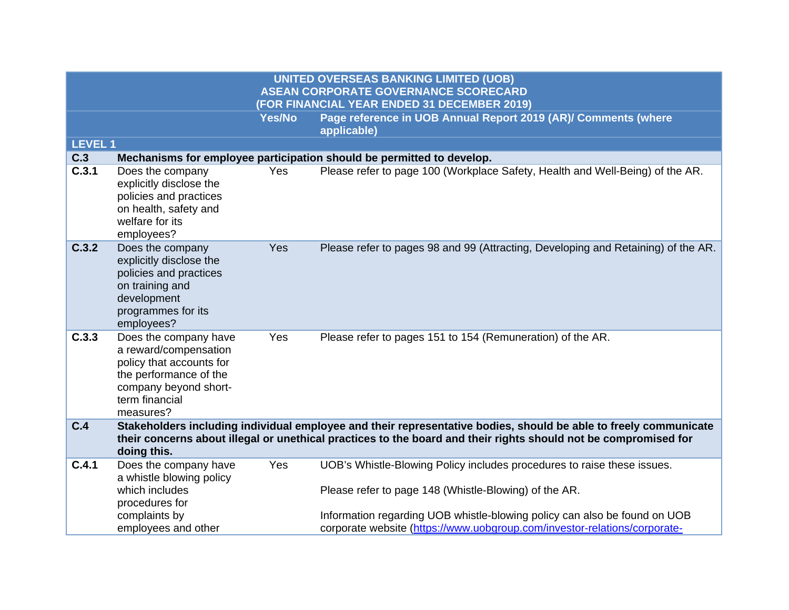| <b>LEVEL 1</b> |                                                                                                                                                              |     |                                                                                                                                                                                                                                     |
|----------------|--------------------------------------------------------------------------------------------------------------------------------------------------------------|-----|-------------------------------------------------------------------------------------------------------------------------------------------------------------------------------------------------------------------------------------|
| C.3            |                                                                                                                                                              |     | Mechanisms for employee participation should be permitted to develop.                                                                                                                                                               |
| C.3.1          | Does the company<br>explicitly disclose the<br>policies and practices<br>on health, safety and<br>welfare for its<br>employees?                              | Yes | Please refer to page 100 (Workplace Safety, Health and Well-Being) of the AR.                                                                                                                                                       |
| C.3.2          | Does the company<br>explicitly disclose the<br>policies and practices<br>on training and<br>development<br>programmes for its<br>employees?                  | Yes | Please refer to pages 98 and 99 (Attracting, Developing and Retaining) of the AR.                                                                                                                                                   |
| C.3.3          | Does the company have<br>a reward/compensation<br>policy that accounts for<br>the performance of the<br>company beyond short-<br>term financial<br>measures? | Yes | Please refer to pages 151 to 154 (Remuneration) of the AR.                                                                                                                                                                          |
| C.4            | doing this.                                                                                                                                                  |     | Stakeholders including individual employee and their representative bodies, should be able to freely communicate<br>their concerns about illegal or unethical practices to the board and their rights should not be compromised for |
| C.4.1          | Does the company have<br>a whistle blowing policy<br>which includes<br>procedures for                                                                        | Yes | UOB's Whistle-Blowing Policy includes procedures to raise these issues.<br>Please refer to page 148 (Whistle-Blowing) of the AR.                                                                                                    |
|                | complaints by<br>employees and other                                                                                                                         |     | Information regarding UOB whistle-blowing policy can also be found on UOB<br>corporate website (https://www.uobgroup.com/investor-relations/corporate-                                                                              |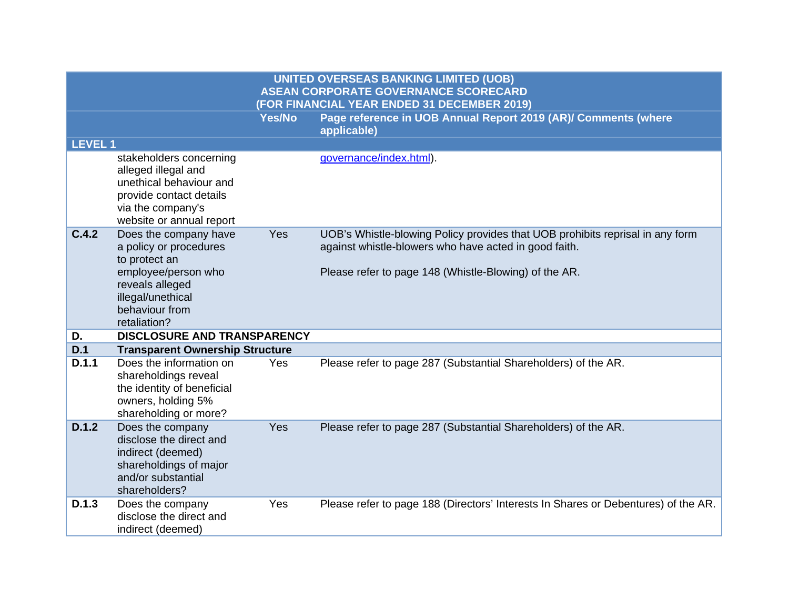|                |                                                                                                                                                       |               | <b>UNITED OVERSEAS BANKING LIMITED (UOB)</b><br><b>ASEAN CORPORATE GOVERNANCE SCORECARD</b>                                                                                                     |
|----------------|-------------------------------------------------------------------------------------------------------------------------------------------------------|---------------|-------------------------------------------------------------------------------------------------------------------------------------------------------------------------------------------------|
|                |                                                                                                                                                       |               | (FOR FINANCIAL YEAR ENDED 31 DECEMBER 2019)                                                                                                                                                     |
|                |                                                                                                                                                       | <b>Yes/No</b> | Page reference in UOB Annual Report 2019 (AR)/ Comments (where<br>applicable)                                                                                                                   |
| <b>LEVEL 1</b> |                                                                                                                                                       |               |                                                                                                                                                                                                 |
|                | stakeholders concerning<br>alleged illegal and<br>unethical behaviour and<br>provide contact details<br>via the company's<br>website or annual report |               | governance/index.html).                                                                                                                                                                         |
| C.4.2          | Does the company have<br>a policy or procedures<br>to protect an<br>employee/person who<br>reveals alleged                                            | Yes           | UOB's Whistle-blowing Policy provides that UOB prohibits reprisal in any form<br>against whistle-blowers who have acted in good faith.<br>Please refer to page 148 (Whistle-Blowing) of the AR. |
|                | illegal/unethical<br>behaviour from<br>retaliation?                                                                                                   |               |                                                                                                                                                                                                 |
| D.             | <b>DISCLOSURE AND TRANSPARENCY</b>                                                                                                                    |               |                                                                                                                                                                                                 |
| D.1            | <b>Transparent Ownership Structure</b>                                                                                                                |               |                                                                                                                                                                                                 |
| D.1.1          | Does the information on<br>shareholdings reveal<br>the identity of beneficial<br>owners, holding 5%<br>shareholding or more?                          | Yes           | Please refer to page 287 (Substantial Shareholders) of the AR.                                                                                                                                  |
| D.1.2          | Does the company<br>disclose the direct and<br>indirect (deemed)<br>shareholdings of major<br>and/or substantial<br>shareholders?                     | Yes           | Please refer to page 287 (Substantial Shareholders) of the AR.                                                                                                                                  |
| D.1.3          | Does the company<br>disclose the direct and<br>indirect (deemed)                                                                                      | Yes           | Please refer to page 188 (Directors' Interests In Shares or Debentures) of the AR.                                                                                                              |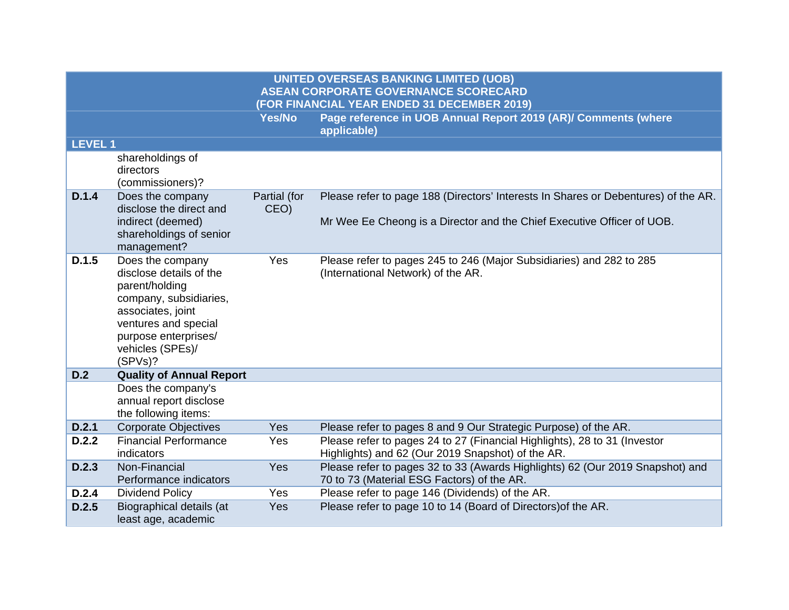|                |                                                                                                                                                                                             |                      | <b>UNITED OVERSEAS BANKING LIMITED (UOB)</b><br><b>ASEAN CORPORATE GOVERNANCE SCORECARD</b><br>(FOR FINANCIAL YEAR ENDED 31 DECEMBER 2019) |
|----------------|---------------------------------------------------------------------------------------------------------------------------------------------------------------------------------------------|----------------------|--------------------------------------------------------------------------------------------------------------------------------------------|
|                |                                                                                                                                                                                             | <b>Yes/No</b>        | Page reference in UOB Annual Report 2019 (AR)/ Comments (where<br>applicable)                                                              |
| <b>LEVEL 1</b> |                                                                                                                                                                                             |                      |                                                                                                                                            |
|                | shareholdings of<br>directors<br>(commissioners)?                                                                                                                                           |                      |                                                                                                                                            |
| D.1.4          | Does the company<br>disclose the direct and                                                                                                                                                 | Partial (for<br>CEO) | Please refer to page 188 (Directors' Interests In Shares or Debentures) of the AR.                                                         |
|                | indirect (deemed)<br>shareholdings of senior<br>management?                                                                                                                                 |                      | Mr Wee Ee Cheong is a Director and the Chief Executive Officer of UOB.                                                                     |
| D.1.5          | Does the company<br>disclose details of the<br>parent/holding<br>company, subsidiaries,<br>associates, joint<br>ventures and special<br>purpose enterprises/<br>vehicles (SPEs)/<br>(SPVs)? | Yes                  | Please refer to pages 245 to 246 (Major Subsidiaries) and 282 to 285<br>(International Network) of the AR.                                 |
| D.2            | <b>Quality of Annual Report</b>                                                                                                                                                             |                      |                                                                                                                                            |
|                | Does the company's<br>annual report disclose<br>the following items:                                                                                                                        |                      |                                                                                                                                            |
| D.2.1          | <b>Corporate Objectives</b>                                                                                                                                                                 | Yes                  | Please refer to pages 8 and 9 Our Strategic Purpose) of the AR.                                                                            |
| D.2.2          | <b>Financial Performance</b><br>indicators                                                                                                                                                  | Yes                  | Please refer to pages 24 to 27 (Financial Highlights), 28 to 31 (Investor<br>Highlights) and 62 (Our 2019 Snapshot) of the AR.             |
| D.2.3          | Non-Financial<br>Performance indicators                                                                                                                                                     | Yes                  | Please refer to pages 32 to 33 (Awards Highlights) 62 (Our 2019 Snapshot) and<br>70 to 73 (Material ESG Factors) of the AR.                |
| D.2.4          | <b>Dividend Policy</b>                                                                                                                                                                      | Yes                  | Please refer to page 146 (Dividends) of the AR.                                                                                            |
| D.2.5          | Biographical details (at<br>least age, academic                                                                                                                                             | Yes                  | Please refer to page 10 to 14 (Board of Directors) of the AR.                                                                              |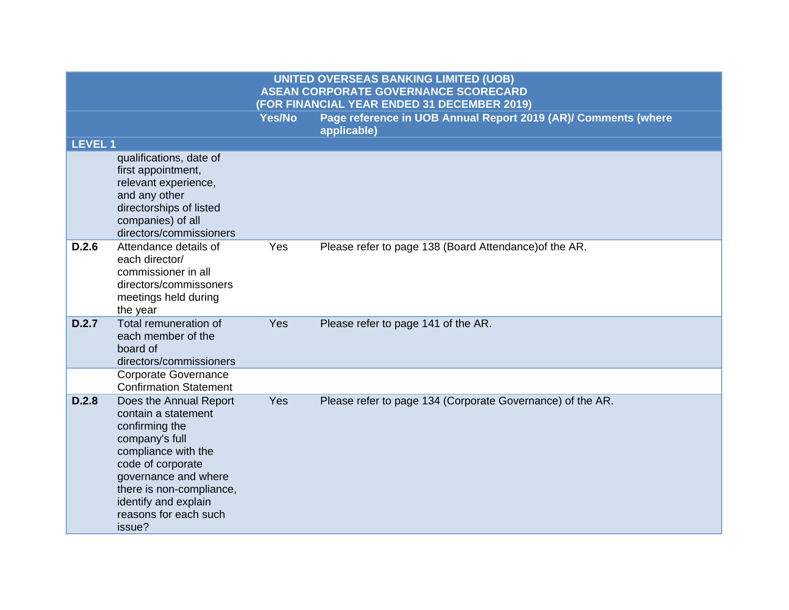|                | <b>UNITED OVERSEAS BANKING LIMITED (UOB)</b><br><b>ASEAN CORPORATE GOVERNANCE SCORECARD</b><br>(FOR FINANCIAL YEAR ENDED 31 DECEMBER 2019)                                                                                                   |               |                                                                               |  |
|----------------|----------------------------------------------------------------------------------------------------------------------------------------------------------------------------------------------------------------------------------------------|---------------|-------------------------------------------------------------------------------|--|
|                |                                                                                                                                                                                                                                              | <b>Yes/No</b> | Page reference in UOB Annual Report 2019 (AR)/ Comments (where<br>applicable) |  |
| <b>LEVEL 1</b> |                                                                                                                                                                                                                                              |               |                                                                               |  |
|                | qualifications, date of<br>first appointment,<br>relevant experience,<br>and any other<br>directorships of listed<br>companies) of all<br>directors/commissioners                                                                            |               |                                                                               |  |
| D.2.6          | Attendance details of<br>each director/<br>commissioner in all<br>directors/commissoners<br>meetings held during<br>the year                                                                                                                 | Yes           | Please refer to page 138 (Board Attendance) of the AR.                        |  |
| D.2.7          | Total remuneration of<br>each member of the<br>board of<br>directors/commissioners                                                                                                                                                           | Yes           | Please refer to page 141 of the AR.                                           |  |
|                | <b>Corporate Governance</b><br><b>Confirmation Statement</b>                                                                                                                                                                                 |               |                                                                               |  |
| D.2.8          | Does the Annual Report<br>contain a statement<br>confirming the<br>company's full<br>compliance with the<br>code of corporate<br>governance and where<br>there is non-compliance,<br>identify and explain<br>reasons for each such<br>issue? | Yes           | Please refer to page 134 (Corporate Governance) of the AR.                    |  |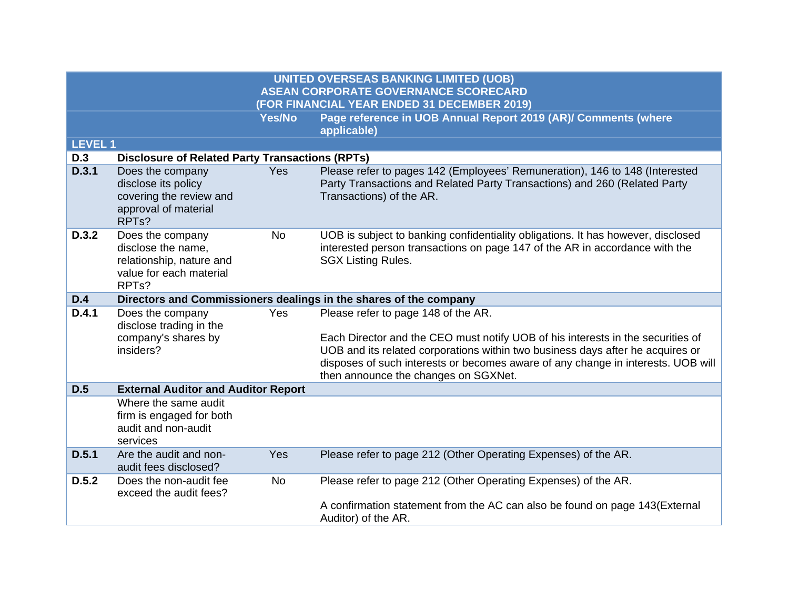|                |                                                                                                                     |               | <b>UNITED OVERSEAS BANKING LIMITED (UOB)</b><br><b>ASEAN CORPORATE GOVERNANCE SCORECARD</b>                                                                                                                                                                                                                                          |
|----------------|---------------------------------------------------------------------------------------------------------------------|---------------|--------------------------------------------------------------------------------------------------------------------------------------------------------------------------------------------------------------------------------------------------------------------------------------------------------------------------------------|
|                |                                                                                                                     |               | (FOR FINANCIAL YEAR ENDED 31 DECEMBER 2019)                                                                                                                                                                                                                                                                                          |
|                |                                                                                                                     | <b>Yes/No</b> | Page reference in UOB Annual Report 2019 (AR)/ Comments (where<br>applicable)                                                                                                                                                                                                                                                        |
| <b>LEVEL 1</b> |                                                                                                                     |               |                                                                                                                                                                                                                                                                                                                                      |
| <b>D.3</b>     | <b>Disclosure of Related Party Transactions (RPTs)</b>                                                              |               |                                                                                                                                                                                                                                                                                                                                      |
| D.3.1          | Does the company<br>disclose its policy<br>covering the review and<br>approval of material<br>RPT <sub>s</sub> ?    | <b>Yes</b>    | Please refer to pages 142 (Employees' Remuneration), 146 to 148 (Interested<br>Party Transactions and Related Party Transactions) and 260 (Related Party<br>Transactions) of the AR.                                                                                                                                                 |
| D.3.2          | Does the company<br>disclose the name,<br>relationship, nature and<br>value for each material<br>RPT <sub>s</sub> ? | <b>No</b>     | UOB is subject to banking confidentiality obligations. It has however, disclosed<br>interested person transactions on page 147 of the AR in accordance with the<br><b>SGX Listing Rules.</b>                                                                                                                                         |
| D.4            |                                                                                                                     |               | Directors and Commissioners dealings in the shares of the company                                                                                                                                                                                                                                                                    |
| D.4.1          | Does the company<br>disclose trading in the<br>company's shares by<br>insiders?                                     | Yes           | Please refer to page 148 of the AR.<br>Each Director and the CEO must notify UOB of his interests in the securities of<br>UOB and its related corporations within two business days after he acquires or<br>disposes of such interests or becomes aware of any change in interests. UOB will<br>then announce the changes on SGXNet. |
| D.5            | <b>External Auditor and Auditor Report</b>                                                                          |               |                                                                                                                                                                                                                                                                                                                                      |
|                | Where the same audit<br>firm is engaged for both<br>audit and non-audit<br>services                                 |               |                                                                                                                                                                                                                                                                                                                                      |
| D.5.1          | Are the audit and non-<br>audit fees disclosed?                                                                     | <b>Yes</b>    | Please refer to page 212 (Other Operating Expenses) of the AR.                                                                                                                                                                                                                                                                       |
| D.5.2          | Does the non-audit fee<br>exceed the audit fees?                                                                    | <b>No</b>     | Please refer to page 212 (Other Operating Expenses) of the AR.                                                                                                                                                                                                                                                                       |
|                |                                                                                                                     |               | A confirmation statement from the AC can also be found on page 143(External<br>Auditor) of the AR.                                                                                                                                                                                                                                   |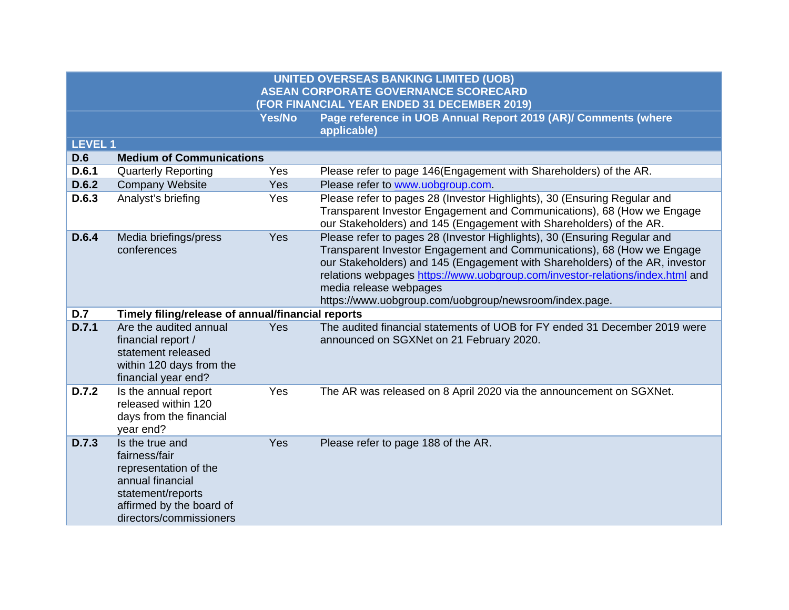| <b>LEVEL 1</b> |                                                                                                                                                           |            |                                                                                                                                                                                                                                                                                                                                                                                                         |
|----------------|-----------------------------------------------------------------------------------------------------------------------------------------------------------|------------|---------------------------------------------------------------------------------------------------------------------------------------------------------------------------------------------------------------------------------------------------------------------------------------------------------------------------------------------------------------------------------------------------------|
| <b>D.6</b>     | <b>Medium of Communications</b>                                                                                                                           |            |                                                                                                                                                                                                                                                                                                                                                                                                         |
| D.6.1          | <b>Quarterly Reporting</b>                                                                                                                                | Yes        | Please refer to page 146(Engagement with Shareholders) of the AR.                                                                                                                                                                                                                                                                                                                                       |
| D.6.2          | <b>Company Website</b>                                                                                                                                    | <b>Yes</b> | Please refer to www.uobgroup.com.                                                                                                                                                                                                                                                                                                                                                                       |
| D.6.3          | Analyst's briefing                                                                                                                                        | Yes        | Please refer to pages 28 (Investor Highlights), 30 (Ensuring Regular and<br>Transparent Investor Engagement and Communications), 68 (How we Engage<br>our Stakeholders) and 145 (Engagement with Shareholders) of the AR.                                                                                                                                                                               |
| D.6.4          | Media briefings/press<br>conferences                                                                                                                      | Yes        | Please refer to pages 28 (Investor Highlights), 30 (Ensuring Regular and<br>Transparent Investor Engagement and Communications), 68 (How we Engage<br>our Stakeholders) and 145 (Engagement with Shareholders) of the AR, investor<br>relations webpages https://www.uobgroup.com/investor-relations/index.html and<br>media release webpages<br>https://www.uobgroup.com/uobgroup/newsroom/index.page. |
| D.7            | Timely filing/release of annual/financial reports                                                                                                         |            |                                                                                                                                                                                                                                                                                                                                                                                                         |
| D.7.1          | Are the audited annual<br>financial report /<br>statement released<br>within 120 days from the<br>financial year end?                                     | <b>Yes</b> | The audited financial statements of UOB for FY ended 31 December 2019 were<br>announced on SGXNet on 21 February 2020.                                                                                                                                                                                                                                                                                  |
| D.7.2          | Is the annual report<br>released within 120<br>days from the financial<br>year end?                                                                       | Yes        | The AR was released on 8 April 2020 via the announcement on SGXNet.                                                                                                                                                                                                                                                                                                                                     |
| D.7.3          | Is the true and<br>fairness/fair<br>representation of the<br>annual financial<br>statement/reports<br>affirmed by the board of<br>directors/commissioners | Yes        | Please refer to page 188 of the AR.                                                                                                                                                                                                                                                                                                                                                                     |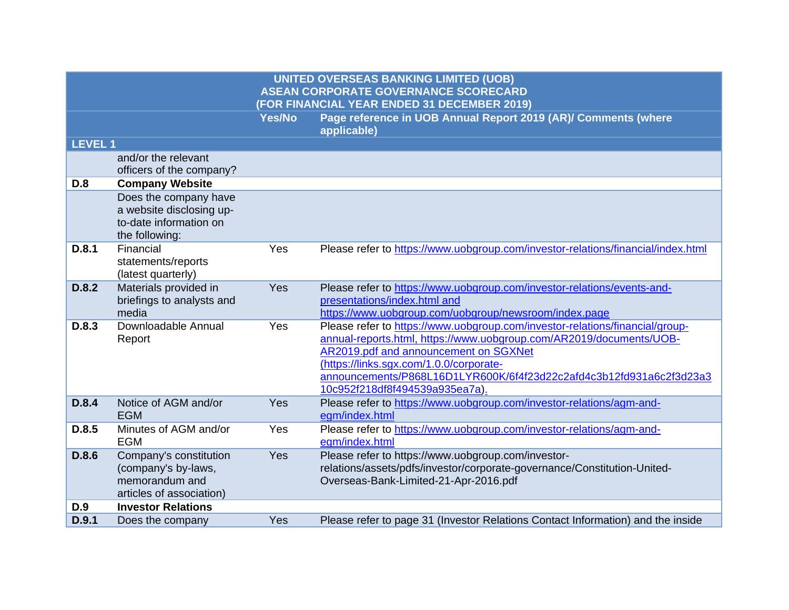| <b>LEVEL 1</b> |                              |     |                                                                                                                                                     |
|----------------|------------------------------|-----|-----------------------------------------------------------------------------------------------------------------------------------------------------|
|                | and/or the relevant          |     |                                                                                                                                                     |
|                | officers of the company?     |     |                                                                                                                                                     |
| <b>D.8</b>     | <b>Company Website</b>       |     |                                                                                                                                                     |
|                | Does the company have        |     |                                                                                                                                                     |
|                | a website disclosing up-     |     |                                                                                                                                                     |
|                | to-date information on       |     |                                                                                                                                                     |
|                | the following:               |     |                                                                                                                                                     |
| D.8.1          | Financial                    | Yes | Please refer to https://www.uobgroup.com/investor-relations/financial/index.html                                                                    |
|                | statements/reports           |     |                                                                                                                                                     |
|                | (latest quarterly)           |     |                                                                                                                                                     |
| D.8.2          | Materials provided in        | Yes | Please refer to https://www.uobgroup.com/investor-relations/events-and-                                                                             |
|                | briefings to analysts and    |     | presentations/index.html and                                                                                                                        |
|                | media<br>Downloadable Annual |     | https://www.uobgroup.com/uobgroup/newsroom/index.page                                                                                               |
| D.8.3          |                              | Yes | Please refer to https://www.uobgroup.com/investor-relations/financial/group-<br>annual-reports.html, https://www.uobgroup.com/AR2019/documents/UOB- |
|                | Report                       |     | AR2019.pdf and announcement on SGXNet                                                                                                               |
|                |                              |     | (https://links.sgx.com/1.0.0/corporate-                                                                                                             |
|                |                              |     | announcements/P868L16D1LYR600K/6f4f23d22c2afd4c3b12fd931a6c2f3d23a3                                                                                 |
|                |                              |     | 10c952f218df8f494539a935ea7a).                                                                                                                      |
| D.8.4          | Notice of AGM and/or         | Yes | Please refer to https://www.uobgroup.com/investor-relations/agm-and-                                                                                |
|                | <b>EGM</b>                   |     | egm/index.html                                                                                                                                      |
| D.8.5          | Minutes of AGM and/or        | Yes | Please refer to https://www.uobgroup.com/investor-relations/agm-and-                                                                                |
|                | <b>EGM</b>                   |     | egm/index.html                                                                                                                                      |
| D.8.6          | Company's constitution       | Yes | Please refer to https://www.uobgroup.com/investor-                                                                                                  |
|                | (company's by-laws,          |     | relations/assets/pdfs/investor/corporate-governance/Constitution-United-                                                                            |
|                | memorandum and               |     | Overseas-Bank-Limited-21-Apr-2016.pdf                                                                                                               |
|                | articles of association)     |     |                                                                                                                                                     |
| D.9            | <b>Investor Relations</b>    |     |                                                                                                                                                     |
| D.9.1          | Does the company             | Yes | Please refer to page 31 (Investor Relations Contact Information) and the inside                                                                     |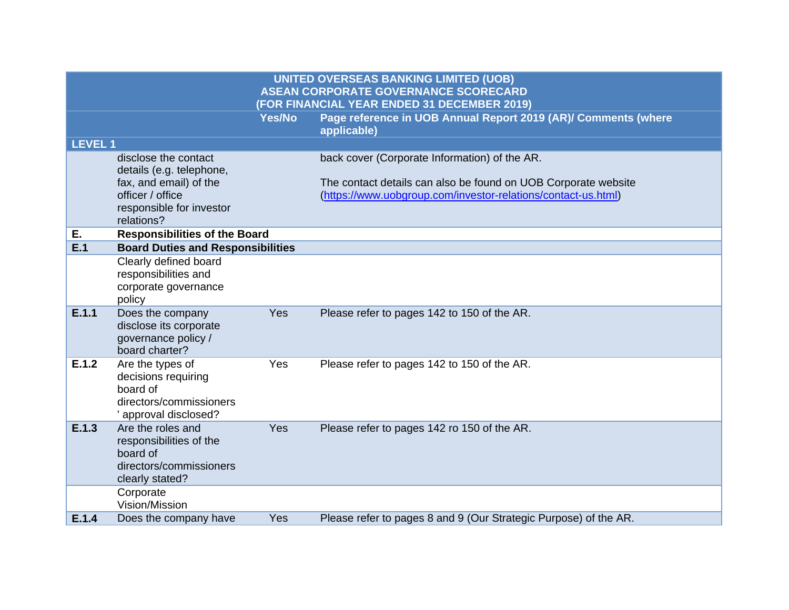|                | <b>UNITED OVERSEAS BANKING LIMITED (UOB)</b><br><b>ASEAN CORPORATE GOVERNANCE SCORECARD</b><br>(FOR FINANCIAL YEAR ENDED 31 DECEMBER 2019) |        |                                                                                                                                                                                  |  |
|----------------|--------------------------------------------------------------------------------------------------------------------------------------------|--------|----------------------------------------------------------------------------------------------------------------------------------------------------------------------------------|--|
|                |                                                                                                                                            | Yes/No | Page reference in UOB Annual Report 2019 (AR)/ Comments (where<br>applicable)                                                                                                    |  |
| <b>LEVEL 1</b> |                                                                                                                                            |        |                                                                                                                                                                                  |  |
|                | disclose the contact<br>details (e.g. telephone,<br>fax, and email) of the<br>officer / office<br>responsible for investor<br>relations?   |        | back cover (Corporate Information) of the AR.<br>The contact details can also be found on UOB Corporate website<br>(https://www.uobgroup.com/investor-relations/contact-us.html) |  |
| Е.             | <b>Responsibilities of the Board</b>                                                                                                       |        |                                                                                                                                                                                  |  |
| E.1            | <b>Board Duties and Responsibilities</b>                                                                                                   |        |                                                                                                                                                                                  |  |
|                | Clearly defined board<br>responsibilities and<br>corporate governance<br>policy                                                            |        |                                                                                                                                                                                  |  |
| E.1.1          | Does the company<br>disclose its corporate<br>governance policy /<br>board charter?                                                        | Yes    | Please refer to pages 142 to 150 of the AR.                                                                                                                                      |  |
| E.1.2          | Are the types of<br>decisions requiring<br>board of<br>directors/commissioners<br>' approval disclosed?                                    | Yes    | Please refer to pages 142 to 150 of the AR.                                                                                                                                      |  |
| E.1.3          | Are the roles and<br>responsibilities of the<br>board of<br>directors/commissioners<br>clearly stated?                                     | Yes    | Please refer to pages 142 ro 150 of the AR.                                                                                                                                      |  |
|                | Corporate<br>Vision/Mission                                                                                                                |        |                                                                                                                                                                                  |  |
| E.1.4          | Does the company have                                                                                                                      | Yes    | Please refer to pages 8 and 9 (Our Strategic Purpose) of the AR.                                                                                                                 |  |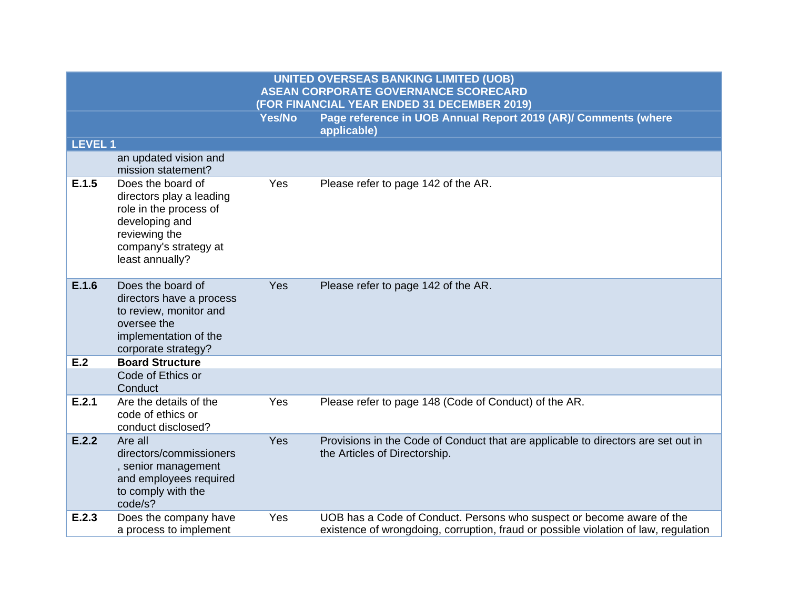|               |                                                                                                                                                        |        | <b>UNITED OVERSEAS BANKING LIMITED (UOB)</b><br><b>ASEAN CORPORATE GOVERNANCE SCORECARD</b><br>(FOR FINANCIAL YEAR ENDED 31 DECEMBER 2019)                   |
|---------------|--------------------------------------------------------------------------------------------------------------------------------------------------------|--------|--------------------------------------------------------------------------------------------------------------------------------------------------------------|
|               |                                                                                                                                                        | Yes/No | Page reference in UOB Annual Report 2019 (AR)/ Comments (where<br>applicable)                                                                                |
| <b>LEVEL1</b> |                                                                                                                                                        |        |                                                                                                                                                              |
|               | an updated vision and<br>mission statement?                                                                                                            |        |                                                                                                                                                              |
| E.1.5         | Does the board of<br>directors play a leading<br>role in the process of<br>developing and<br>reviewing the<br>company's strategy at<br>least annually? | Yes    | Please refer to page 142 of the AR.                                                                                                                          |
| E.1.6         | Does the board of<br>directors have a process<br>to review, monitor and<br>oversee the<br>implementation of the<br>corporate strategy?                 | Yes    | Please refer to page 142 of the AR.                                                                                                                          |
| E.2           | <b>Board Structure</b>                                                                                                                                 |        |                                                                                                                                                              |
|               | Code of Ethics or<br>Conduct                                                                                                                           |        |                                                                                                                                                              |
| E.2.1         | Are the details of the<br>code of ethics or<br>conduct disclosed?                                                                                      | Yes    | Please refer to page 148 (Code of Conduct) of the AR.                                                                                                        |
| E.2.2         | Are all<br>directors/commissioners<br>, senior management<br>and employees required<br>to comply with the<br>code/s?                                   | Yes    | Provisions in the Code of Conduct that are applicable to directors are set out in<br>the Articles of Directorship.                                           |
| E.2.3         | Does the company have<br>a process to implement                                                                                                        | Yes    | UOB has a Code of Conduct. Persons who suspect or become aware of the<br>existence of wrongdoing, corruption, fraud or possible violation of law, regulation |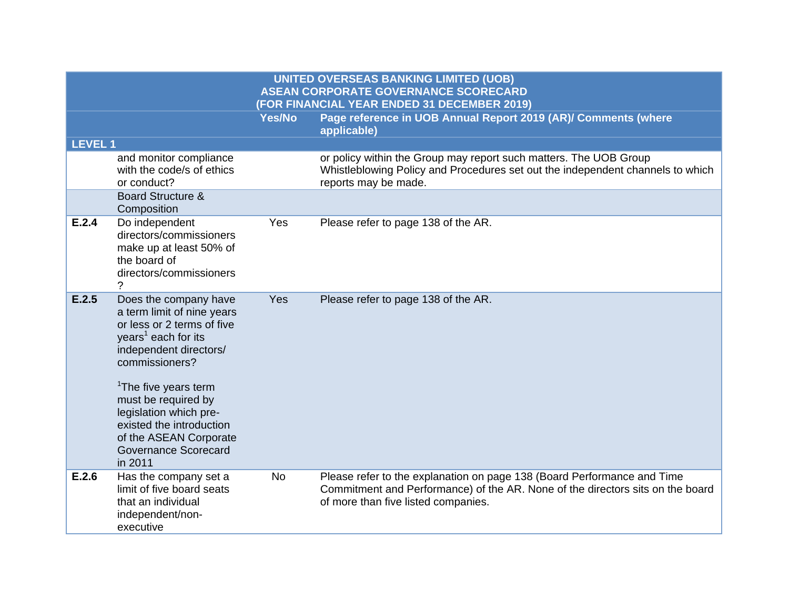|                                             | UNITED OVERSEAS BANKING LIMITED (UOB)                                         |  |  |  |  |
|---------------------------------------------|-------------------------------------------------------------------------------|--|--|--|--|
| ASEAN CORPORATE GOVERNANCE SCORECARD        |                                                                               |  |  |  |  |
| (FOR FINANCIAL YEAR ENDED 31 DECEMBER 2019) |                                                                               |  |  |  |  |
| Yes/No                                      | ∣ Page reference in UOB Annual Report 2019 (AR)/ Comments (where <sup>∣</sup> |  |  |  |  |

|                |                                                                                                                                                                                                                                                                                                                                                       |           | applicable)                                                                                                                                                                                      |
|----------------|-------------------------------------------------------------------------------------------------------------------------------------------------------------------------------------------------------------------------------------------------------------------------------------------------------------------------------------------------------|-----------|--------------------------------------------------------------------------------------------------------------------------------------------------------------------------------------------------|
| <b>LEVEL 1</b> |                                                                                                                                                                                                                                                                                                                                                       |           |                                                                                                                                                                                                  |
|                | and monitor compliance<br>with the code/s of ethics<br>or conduct?                                                                                                                                                                                                                                                                                    |           | or policy within the Group may report such matters. The UOB Group<br>Whistleblowing Policy and Procedures set out the independent channels to which<br>reports may be made.                      |
|                | <b>Board Structure &amp;</b><br>Composition                                                                                                                                                                                                                                                                                                           |           |                                                                                                                                                                                                  |
| E.2.4          | Do independent<br>directors/commissioners<br>make up at least 50% of<br>the board of<br>directors/commissioners                                                                                                                                                                                                                                       | Yes       | Please refer to page 138 of the AR.                                                                                                                                                              |
| E.2.5          | Does the company have<br>a term limit of nine years<br>or less or 2 terms of five<br>years <sup>1</sup> each for its<br>independent directors/<br>commissioners?<br><sup>1</sup> The five years term<br>must be required by<br>legislation which pre-<br>existed the introduction<br>of the ASEAN Corporate<br><b>Governance Scorecard</b><br>in 2011 | Yes       | Please refer to page 138 of the AR.                                                                                                                                                              |
| E.2.6          | Has the company set a<br>limit of five board seats<br>that an individual<br>independent/non-<br>executive                                                                                                                                                                                                                                             | <b>No</b> | Please refer to the explanation on page 138 (Board Performance and Time<br>Commitment and Performance) of the AR. None of the directors sits on the board<br>of more than five listed companies. |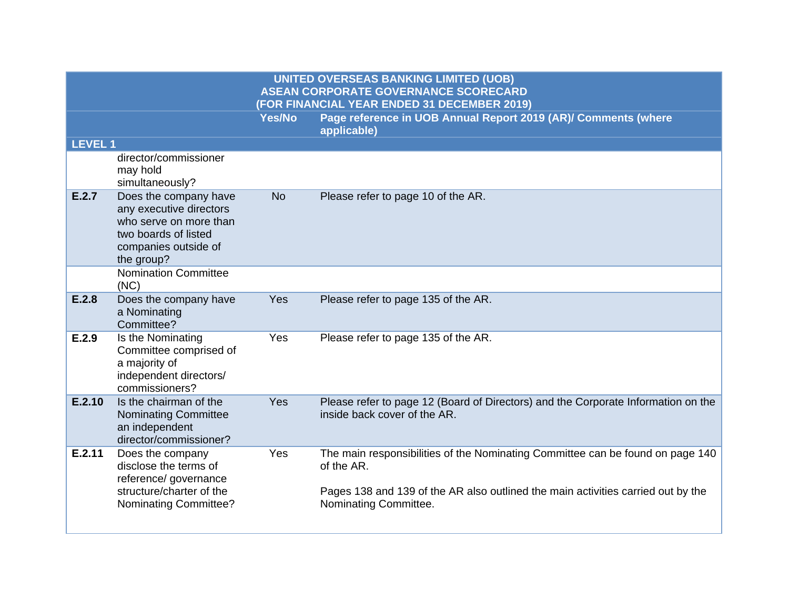| <b>LEVEL 1</b> |                                                                                                                                          |            |                                                                                                                                                                                                           |
|----------------|------------------------------------------------------------------------------------------------------------------------------------------|------------|-----------------------------------------------------------------------------------------------------------------------------------------------------------------------------------------------------------|
|                | director/commissioner<br>may hold<br>simultaneously?                                                                                     |            |                                                                                                                                                                                                           |
| E.2.7          | Does the company have<br>any executive directors<br>who serve on more than<br>two boards of listed<br>companies outside of<br>the group? | <b>No</b>  | Please refer to page 10 of the AR.                                                                                                                                                                        |
|                | <b>Nomination Committee</b><br>(NC)                                                                                                      |            |                                                                                                                                                                                                           |
| E.2.8          | Does the company have<br>a Nominating<br>Committee?                                                                                      | <b>Yes</b> | Please refer to page 135 of the AR.                                                                                                                                                                       |
| E.2.9          | Is the Nominating<br>Committee comprised of<br>a majority of<br>independent directors/<br>commissioners?                                 | Yes        | Please refer to page 135 of the AR.                                                                                                                                                                       |
| E.2.10         | Is the chairman of the<br><b>Nominating Committee</b><br>an independent<br>director/commissioner?                                        | Yes        | Please refer to page 12 (Board of Directors) and the Corporate Information on the<br>inside back cover of the AR.                                                                                         |
| E.2.11         | Does the company<br>disclose the terms of<br>reference/ governance<br>structure/charter of the<br><b>Nominating Committee?</b>           | Yes        | The main responsibilities of the Nominating Committee can be found on page 140<br>of the AR.<br>Pages 138 and 139 of the AR also outlined the main activities carried out by the<br>Nominating Committee. |
|                |                                                                                                                                          |            |                                                                                                                                                                                                           |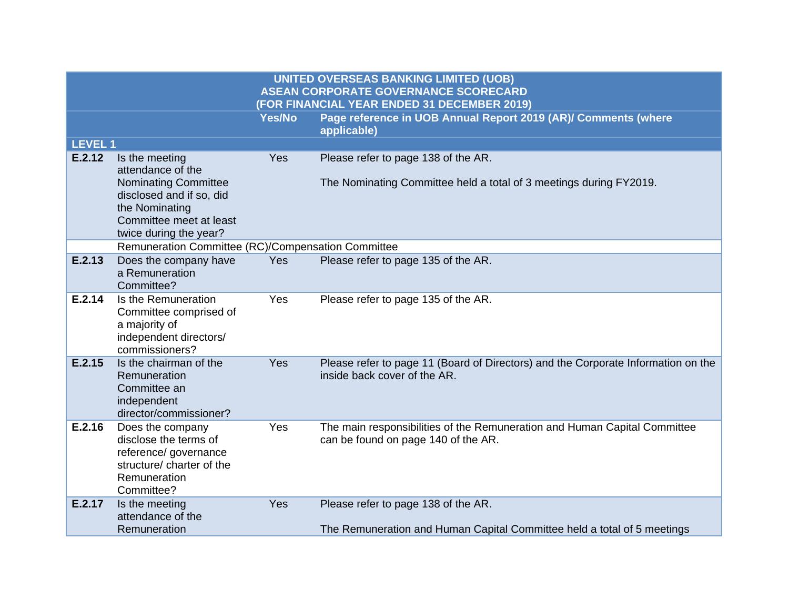|                |                                                                                                                                                                       |               | <b>UNITED OVERSEAS BANKING LIMITED (UOB)</b><br><b>ASEAN CORPORATE GOVERNANCE SCORECARD</b><br>(FOR FINANCIAL YEAR ENDED 31 DECEMBER 2019) |
|----------------|-----------------------------------------------------------------------------------------------------------------------------------------------------------------------|---------------|--------------------------------------------------------------------------------------------------------------------------------------------|
|                |                                                                                                                                                                       | <b>Yes/No</b> | Page reference in UOB Annual Report 2019 (AR)/ Comments (where<br>applicable)                                                              |
| <b>LEVEL 1</b> |                                                                                                                                                                       |               |                                                                                                                                            |
| E.2.12         | Is the meeting<br>attendance of the<br><b>Nominating Committee</b><br>disclosed and if so, did<br>the Nominating<br>Committee meet at least<br>twice during the year? | Yes           | Please refer to page 138 of the AR.<br>The Nominating Committee held a total of 3 meetings during FY2019.                                  |
|                | Remuneration Committee (RC)/Compensation Committee                                                                                                                    |               |                                                                                                                                            |
| E.2.13         | Does the company have<br>a Remuneration<br>Committee?                                                                                                                 | <b>Yes</b>    | Please refer to page 135 of the AR.                                                                                                        |
| E.2.14         | Is the Remuneration<br>Committee comprised of<br>a majority of<br>independent directors/<br>commissioners?                                                            | Yes           | Please refer to page 135 of the AR.                                                                                                        |
| E.2.15         | Is the chairman of the<br>Remuneration<br>Committee an<br>independent<br>director/commissioner?                                                                       | Yes           | Please refer to page 11 (Board of Directors) and the Corporate Information on the<br>inside back cover of the AR.                          |
| E.2.16         | Does the company<br>disclose the terms of<br>reference/ governance<br>structure/ charter of the<br>Remuneration<br>Committee?                                         | Yes           | The main responsibilities of the Remuneration and Human Capital Committee<br>can be found on page 140 of the AR.                           |
| E.2.17         | Is the meeting<br>attendance of the<br>Remuneration                                                                                                                   | <b>Yes</b>    | Please refer to page 138 of the AR.<br>The Remuneration and Human Capital Committee held a total of 5 meetings                             |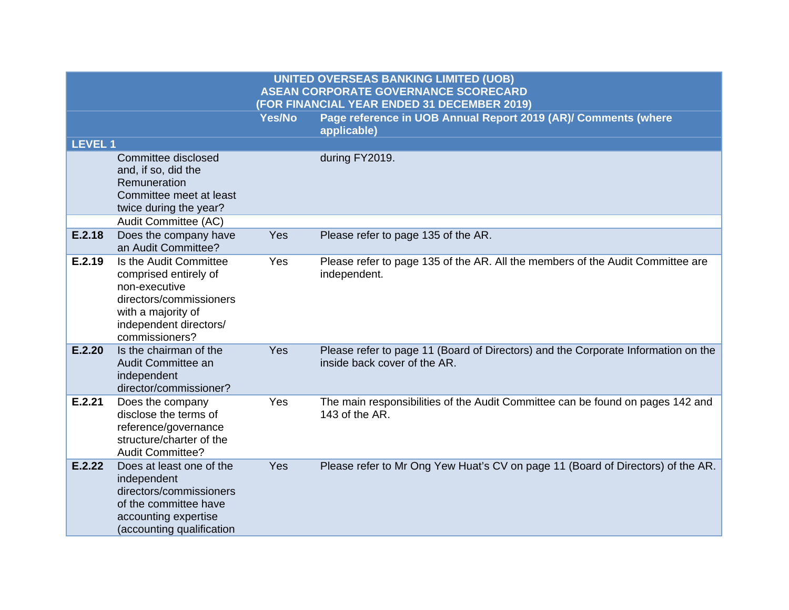|                |                                                                                                                                                               |               | <b>UNITED OVERSEAS BANKING LIMITED (UOB)</b><br><b>ASEAN CORPORATE GOVERNANCE SCORECARD</b><br>(FOR FINANCIAL YEAR ENDED 31 DECEMBER 2019) |
|----------------|---------------------------------------------------------------------------------------------------------------------------------------------------------------|---------------|--------------------------------------------------------------------------------------------------------------------------------------------|
|                |                                                                                                                                                               | <b>Yes/No</b> | Page reference in UOB Annual Report 2019 (AR)/ Comments (where<br>applicable)                                                              |
| <b>LEVEL 1</b> |                                                                                                                                                               |               |                                                                                                                                            |
|                | Committee disclosed<br>and, if so, did the<br>Remuneration<br>Committee meet at least<br>twice during the year?                                               |               | during FY2019.                                                                                                                             |
|                | Audit Committee (AC)                                                                                                                                          |               |                                                                                                                                            |
| E.2.18         | Does the company have<br>an Audit Committee?                                                                                                                  | Yes           | Please refer to page 135 of the AR.                                                                                                        |
| E.2.19         | Is the Audit Committee<br>comprised entirely of<br>non-executive<br>directors/commissioners<br>with a majority of<br>independent directors/<br>commissioners? | Yes           | Please refer to page 135 of the AR. All the members of the Audit Committee are<br>independent.                                             |
| E.2.20         | Is the chairman of the<br>Audit Committee an<br>independent<br>director/commissioner?                                                                         | Yes           | Please refer to page 11 (Board of Directors) and the Corporate Information on the<br>inside back cover of the AR.                          |
| E.2.21         | Does the company<br>disclose the terms of<br>reference/governance<br>structure/charter of the<br><b>Audit Committee?</b>                                      | Yes           | The main responsibilities of the Audit Committee can be found on pages 142 and<br>143 of the AR.                                           |
| E.2.22         | Does at least one of the<br>independent<br>directors/commissioners<br>of the committee have<br>accounting expertise<br>(accounting qualification              | Yes           | Please refer to Mr Ong Yew Huat's CV on page 11 (Board of Directors) of the AR.                                                            |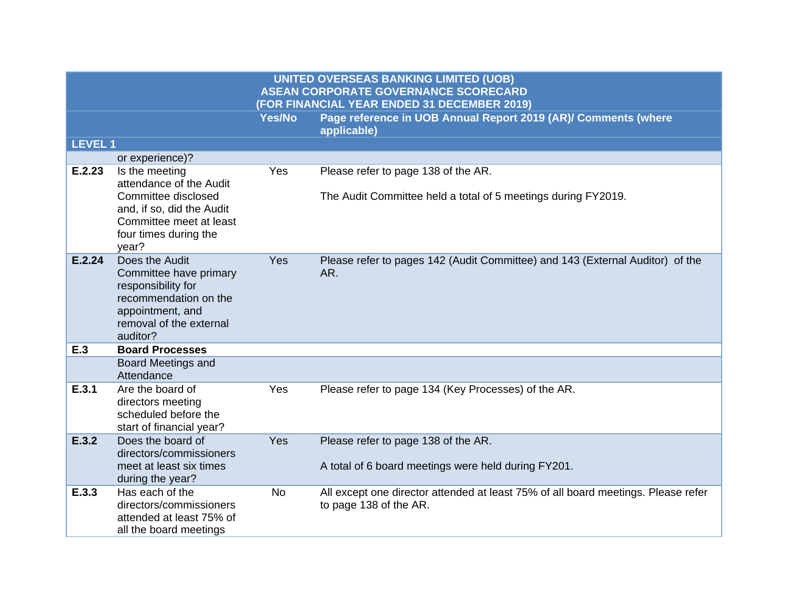|                |                                                                                                                                                            |           | <b>UNITED OVERSEAS BANKING LIMITED (UOB)</b><br><b>ASEAN CORPORATE GOVERNANCE SCORECARD</b><br>(FOR FINANCIAL YEAR ENDED 31 DECEMBER 2019) |
|----------------|------------------------------------------------------------------------------------------------------------------------------------------------------------|-----------|--------------------------------------------------------------------------------------------------------------------------------------------|
|                |                                                                                                                                                            | Yes/No    | Page reference in UOB Annual Report 2019 (AR)/ Comments (where<br>applicable)                                                              |
| <b>LEVEL 1</b> |                                                                                                                                                            |           |                                                                                                                                            |
|                | or experience)?                                                                                                                                            |           |                                                                                                                                            |
| E.2.23         | Is the meeting<br>attendance of the Audit<br>Committee disclosed<br>and, if so, did the Audit<br>Committee meet at least<br>four times during the<br>year? | Yes       | Please refer to page 138 of the AR.<br>The Audit Committee held a total of 5 meetings during FY2019.                                       |
| E.2.24         | Does the Audit<br>Committee have primary<br>responsibility for<br>recommendation on the<br>appointment, and<br>removal of the external<br>auditor?         | Yes       | Please refer to pages 142 (Audit Committee) and 143 (External Auditor) of the<br>AR.                                                       |
| E.3            | <b>Board Processes</b>                                                                                                                                     |           |                                                                                                                                            |
|                | <b>Board Meetings and</b><br>Attendance                                                                                                                    |           |                                                                                                                                            |
| E.3.1          | Are the board of<br>directors meeting<br>scheduled before the<br>start of financial year?                                                                  | Yes       | Please refer to page 134 (Key Processes) of the AR.                                                                                        |
| E.3.2          | Does the board of<br>directors/commissioners<br>meet at least six times<br>during the year?                                                                | Yes       | Please refer to page 138 of the AR.<br>A total of 6 board meetings were held during FY201.                                                 |
| E.3.3          | Has each of the<br>directors/commissioners<br>attended at least 75% of<br>all the board meetings                                                           | <b>No</b> | All except one director attended at least 75% of all board meetings. Please refer<br>to page 138 of the AR.                                |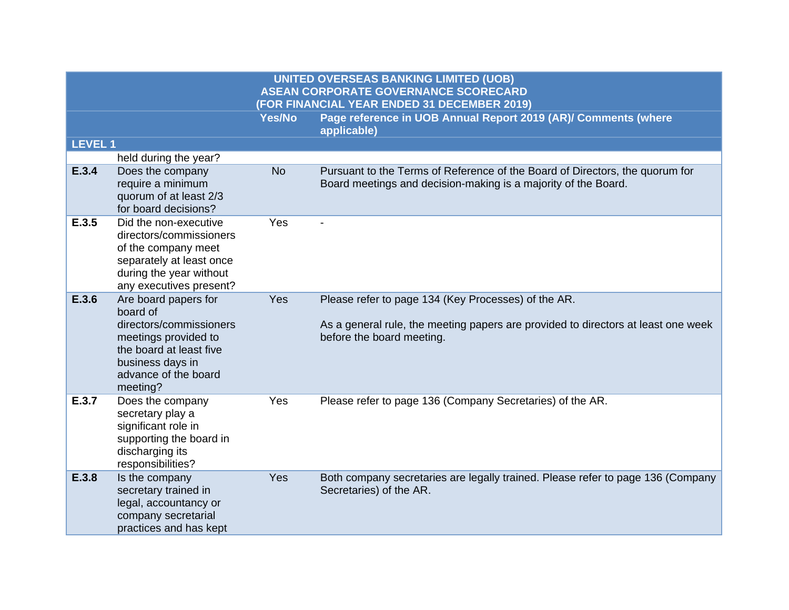| Nes/No \ | Page reference in UOB Annual Report 2019 (AR)/ Comments (where |
|----------|----------------------------------------------------------------|
|          | applicable)                                                    |
|          |                                                                |

| <b>LEVEL 1</b> |                                                                                                                                                                        |           |                                                                                                                                                                       |
|----------------|------------------------------------------------------------------------------------------------------------------------------------------------------------------------|-----------|-----------------------------------------------------------------------------------------------------------------------------------------------------------------------|
|                | held during the year?                                                                                                                                                  |           |                                                                                                                                                                       |
| E.3.4          | Does the company<br>require a minimum<br>quorum of at least 2/3<br>for board decisions?                                                                                | <b>No</b> | Pursuant to the Terms of Reference of the Board of Directors, the quorum for<br>Board meetings and decision-making is a majority of the Board.                        |
| E.3.5          | Did the non-executive<br>directors/commissioners<br>of the company meet<br>separately at least once<br>during the year without<br>any executives present?              | Yes       |                                                                                                                                                                       |
| E.3.6          | Are board papers for<br>board of<br>directors/commissioners<br>meetings provided to<br>the board at least five<br>business days in<br>advance of the board<br>meeting? | Yes       | Please refer to page 134 (Key Processes) of the AR.<br>As a general rule, the meeting papers are provided to directors at least one week<br>before the board meeting. |
| E.3.7          | Does the company<br>secretary play a<br>significant role in<br>supporting the board in<br>discharging its<br>responsibilities?                                         | Yes       | Please refer to page 136 (Company Secretaries) of the AR.                                                                                                             |
| E.3.8          | Is the company<br>secretary trained in<br>legal, accountancy or<br>company secretarial<br>practices and has kept                                                       | Yes       | Both company secretaries are legally trained. Please refer to page 136 (Company<br>Secretaries) of the AR.                                                            |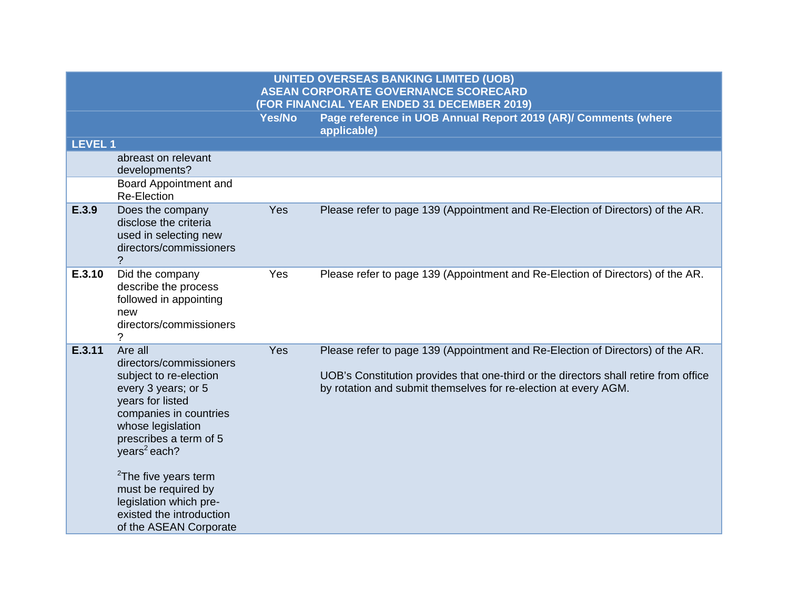| <b>LEVEL1</b> |                                                                                                                                                                                                                                                                                                                                                         |            |                                                                                                                                                                                                                                           |
|---------------|---------------------------------------------------------------------------------------------------------------------------------------------------------------------------------------------------------------------------------------------------------------------------------------------------------------------------------------------------------|------------|-------------------------------------------------------------------------------------------------------------------------------------------------------------------------------------------------------------------------------------------|
|               | abreast on relevant<br>developments?                                                                                                                                                                                                                                                                                                                    |            |                                                                                                                                                                                                                                           |
|               | Board Appointment and<br><b>Re-Election</b>                                                                                                                                                                                                                                                                                                             |            |                                                                                                                                                                                                                                           |
| E.3.9         | Does the company<br>disclose the criteria<br>used in selecting new<br>directors/commissioners<br>?                                                                                                                                                                                                                                                      | Yes        | Please refer to page 139 (Appointment and Re-Election of Directors) of the AR.                                                                                                                                                            |
| E.3.10        | Did the company<br>describe the process<br>followed in appointing<br>new<br>directors/commissioners<br>?                                                                                                                                                                                                                                                | Yes        | Please refer to page 139 (Appointment and Re-Election of Directors) of the AR.                                                                                                                                                            |
| E.3.11        | Are all<br>directors/commissioners<br>subject to re-election<br>every 3 years; or 5<br>years for listed<br>companies in countries<br>whose legislation<br>prescribes a term of 5<br>years <sup>2</sup> each?<br><sup>2</sup> The five years term<br>must be required by<br>legislation which pre-<br>existed the introduction<br>of the ASEAN Corporate | <b>Yes</b> | Please refer to page 139 (Appointment and Re-Election of Directors) of the AR.<br>UOB's Constitution provides that one-third or the directors shall retire from office<br>by rotation and submit themselves for re-election at every AGM. |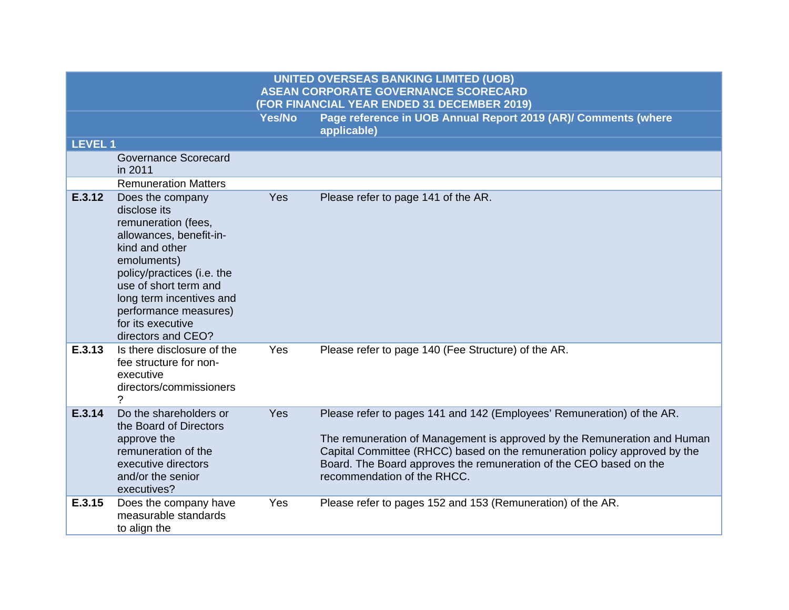| <b>LEVEL 1</b> |                                                                                                                                                                                                                                                                            |     |                                                                                                                                                                                                                                                                                                                                      |
|----------------|----------------------------------------------------------------------------------------------------------------------------------------------------------------------------------------------------------------------------------------------------------------------------|-----|--------------------------------------------------------------------------------------------------------------------------------------------------------------------------------------------------------------------------------------------------------------------------------------------------------------------------------------|
|                | <b>Governance Scorecard</b><br>in 2011                                                                                                                                                                                                                                     |     |                                                                                                                                                                                                                                                                                                                                      |
|                | <b>Remuneration Matters</b>                                                                                                                                                                                                                                                |     |                                                                                                                                                                                                                                                                                                                                      |
| E.3.12         | Does the company<br>disclose its<br>remuneration (fees,<br>allowances, benefit-in-<br>kind and other<br>emoluments)<br>policy/practices (i.e. the<br>use of short term and<br>long term incentives and<br>performance measures)<br>for its executive<br>directors and CEO? | Yes | Please refer to page 141 of the AR.                                                                                                                                                                                                                                                                                                  |
| E.3.13         | Is there disclosure of the<br>fee structure for non-<br>executive<br>directors/commissioners<br>$\gamma$                                                                                                                                                                   | Yes | Please refer to page 140 (Fee Structure) of the AR.                                                                                                                                                                                                                                                                                  |
| E.3.14         | Do the shareholders or<br>the Board of Directors<br>approve the<br>remuneration of the<br>executive directors<br>and/or the senior<br>executives?                                                                                                                          | Yes | Please refer to pages 141 and 142 (Employees' Remuneration) of the AR.<br>The remuneration of Management is approved by the Remuneration and Human<br>Capital Committee (RHCC) based on the remuneration policy approved by the<br>Board. The Board approves the remuneration of the CEO based on the<br>recommendation of the RHCC. |
| E.3.15         | Does the company have<br>measurable standards<br>to align the                                                                                                                                                                                                              | Yes | Please refer to pages 152 and 153 (Remuneration) of the AR.                                                                                                                                                                                                                                                                          |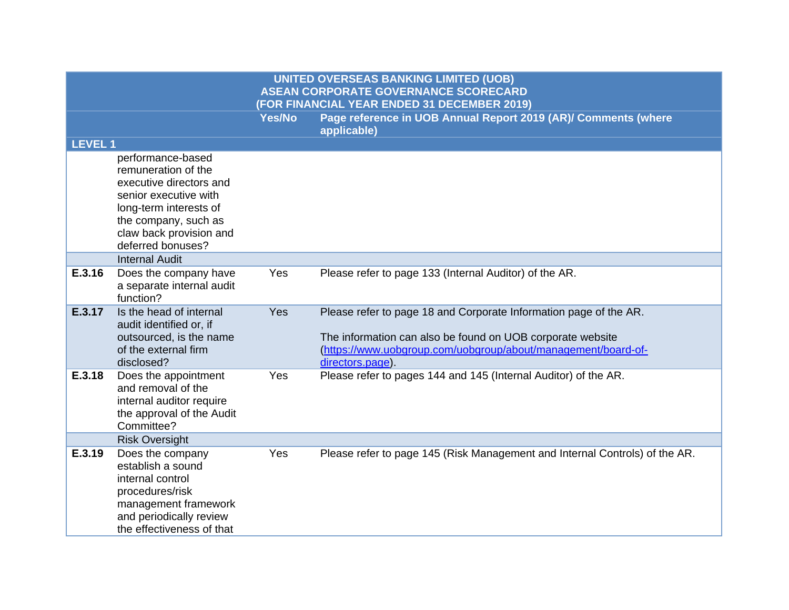| <b>LEVEL1</b> |                                                                                                                                                                                                |     |                                                                                                                                                                                                                      |
|---------------|------------------------------------------------------------------------------------------------------------------------------------------------------------------------------------------------|-----|----------------------------------------------------------------------------------------------------------------------------------------------------------------------------------------------------------------------|
|               | performance-based<br>remuneration of the<br>executive directors and<br>senior executive with<br>long-term interests of<br>the company, such as<br>claw back provision and<br>deferred bonuses? |     |                                                                                                                                                                                                                      |
|               | <b>Internal Audit</b>                                                                                                                                                                          |     |                                                                                                                                                                                                                      |
| E.3.16        | Does the company have<br>a separate internal audit<br>function?                                                                                                                                | Yes | Please refer to page 133 (Internal Auditor) of the AR.                                                                                                                                                               |
| E.3.17        | Is the head of internal<br>audit identified or, if<br>outsourced, is the name<br>of the external firm<br>disclosed?                                                                            | Yes | Please refer to page 18 and Corporate Information page of the AR.<br>The information can also be found on UOB corporate website<br>(https://www.uobgroup.com/uobgroup/about/management/board-of-<br>directors.page). |
| E.3.18        | Does the appointment<br>and removal of the<br>internal auditor require<br>the approval of the Audit<br>Committee?                                                                              | Yes | Please refer to pages 144 and 145 (Internal Auditor) of the AR.                                                                                                                                                      |
|               | <b>Risk Oversight</b>                                                                                                                                                                          |     |                                                                                                                                                                                                                      |
| E.3.19        | Does the company<br>establish a sound<br>internal control<br>procedures/risk<br>management framework<br>and periodically review<br>the effectiveness of that                                   | Yes | Please refer to page 145 (Risk Management and Internal Controls) of the AR.                                                                                                                                          |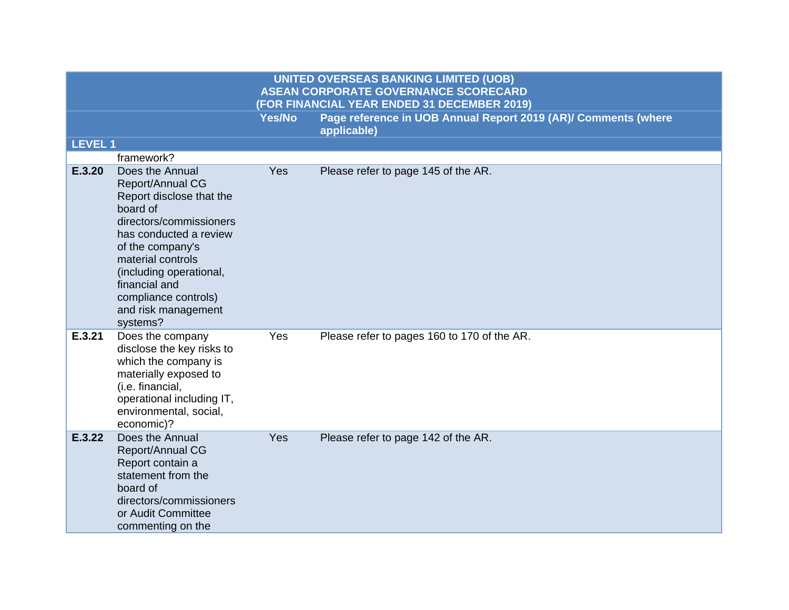**LEVEL 1**

|        | framework?                                                                                                                                                                                                                                                                              |     |                                             |
|--------|-----------------------------------------------------------------------------------------------------------------------------------------------------------------------------------------------------------------------------------------------------------------------------------------|-----|---------------------------------------------|
| E.3.20 | Does the Annual<br><b>Report/Annual CG</b><br>Report disclose that the<br>board of<br>directors/commissioners<br>has conducted a review<br>of the company's<br>material controls<br>(including operational,<br>financial and<br>compliance controls)<br>and risk management<br>systems? | Yes | Please refer to page 145 of the AR.         |
| E.3.21 | Does the company<br>disclose the key risks to<br>which the company is<br>materially exposed to<br>(i.e. financial,<br>operational including IT,<br>environmental, social,<br>economic)?                                                                                                 | Yes | Please refer to pages 160 to 170 of the AR. |
| E.3.22 | Does the Annual<br>Report/Annual CG<br>Report contain a<br>statement from the<br>board of<br>directors/commissioners<br>or Audit Committee<br>commenting on the                                                                                                                         | Yes | Please refer to page 142 of the AR.         |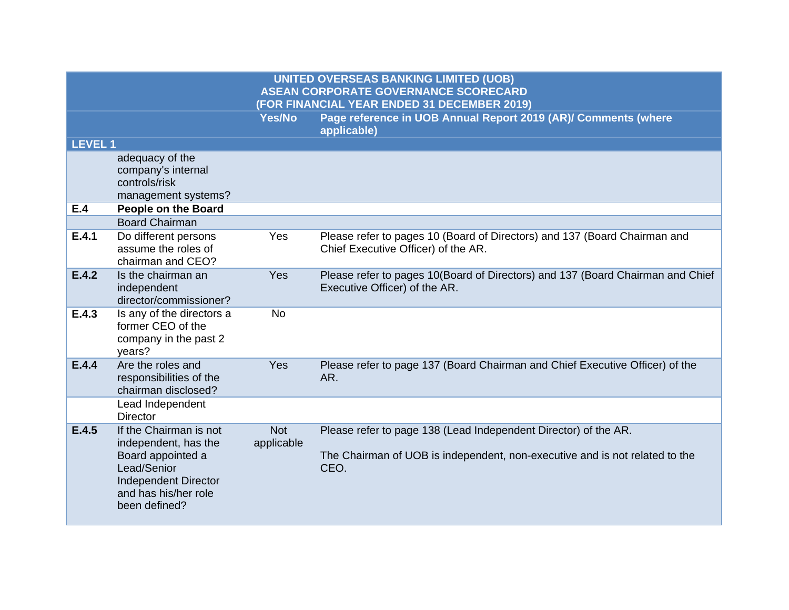|         |                                                                                                                                                            |                          | <b>UNITED OVERSEAS BANKING LIMITED (UOB)</b><br><b>ASEAN CORPORATE GOVERNANCE SCORECARD</b><br>(FOR FINANCIAL YEAR ENDED 31 DECEMBER 2019)             |
|---------|------------------------------------------------------------------------------------------------------------------------------------------------------------|--------------------------|--------------------------------------------------------------------------------------------------------------------------------------------------------|
|         |                                                                                                                                                            | <b>Yes/No</b>            | Page reference in UOB Annual Report 2019 (AR)/ Comments (where<br>applicable)                                                                          |
| LEVEL 1 |                                                                                                                                                            |                          |                                                                                                                                                        |
|         | adequacy of the<br>company's internal<br>controls/risk<br>management systems?                                                                              |                          |                                                                                                                                                        |
| E.4     | <b>People on the Board</b>                                                                                                                                 |                          |                                                                                                                                                        |
|         | <b>Board Chairman</b>                                                                                                                                      |                          |                                                                                                                                                        |
| E.4.1   | Do different persons<br>assume the roles of<br>chairman and CEO?                                                                                           | Yes                      | Please refer to pages 10 (Board of Directors) and 137 (Board Chairman and<br>Chief Executive Officer) of the AR.                                       |
| E.4.2   | Is the chairman an<br>independent<br>director/commissioner?                                                                                                | Yes                      | Please refer to pages 10(Board of Directors) and 137 (Board Chairman and Chief<br>Executive Officer) of the AR.                                        |
| E.4.3   | Is any of the directors a<br>former CEO of the<br>company in the past 2<br>years?                                                                          | <b>No</b>                |                                                                                                                                                        |
| E.4.4   | Are the roles and<br>responsibilities of the<br>chairman disclosed?                                                                                        | Yes                      | Please refer to page 137 (Board Chairman and Chief Executive Officer) of the<br>AR.                                                                    |
|         | Lead Independent<br><b>Director</b>                                                                                                                        |                          |                                                                                                                                                        |
| E.4.5   | If the Chairman is not<br>independent, has the<br>Board appointed a<br>Lead/Senior<br><b>Independent Director</b><br>and has his/her role<br>been defined? | <b>Not</b><br>applicable | Please refer to page 138 (Lead Independent Director) of the AR.<br>The Chairman of UOB is independent, non-executive and is not related to the<br>CEO. |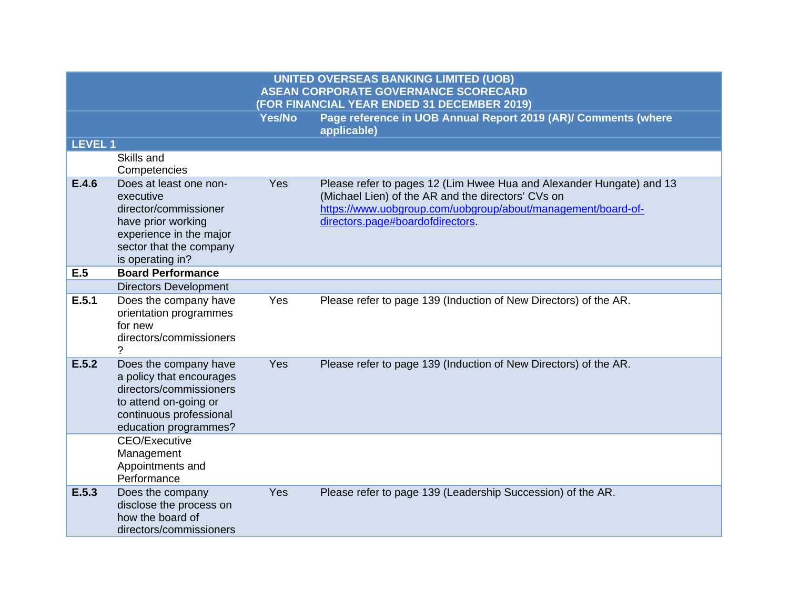|                |                                                                                                                                                              |               | <b>UNITED OVERSEAS BANKING LIMITED (UOB)</b><br><b>ASEAN CORPORATE GOVERNANCE SCORECARD</b><br>(FOR FINANCIAL YEAR ENDED 31 DECEMBER 2019)                                                                                     |
|----------------|--------------------------------------------------------------------------------------------------------------------------------------------------------------|---------------|--------------------------------------------------------------------------------------------------------------------------------------------------------------------------------------------------------------------------------|
|                |                                                                                                                                                              | <b>Yes/No</b> | Page reference in UOB Annual Report 2019 (AR)/ Comments (where<br>applicable)                                                                                                                                                  |
| <b>LEVEL 1</b> |                                                                                                                                                              |               |                                                                                                                                                                                                                                |
|                | Skills and<br>Competencies                                                                                                                                   |               |                                                                                                                                                                                                                                |
| E.4.6          | Does at least one non-<br>executive<br>director/commissioner<br>have prior working<br>experience in the major<br>sector that the company<br>is operating in? | Yes           | Please refer to pages 12 (Lim Hwee Hua and Alexander Hungate) and 13<br>(Michael Lien) of the AR and the directors' CVs on<br>https://www.uobgroup.com/uobgroup/about/management/board-of-<br>directors.page#boardofdirectors. |
| E.5            | <b>Board Performance</b>                                                                                                                                     |               |                                                                                                                                                                                                                                |
|                | <b>Directors Development</b>                                                                                                                                 |               |                                                                                                                                                                                                                                |
| E.5.1          | Does the company have<br>orientation programmes<br>for new<br>directors/commissioners                                                                        | Yes           | Please refer to page 139 (Induction of New Directors) of the AR.                                                                                                                                                               |
| E.5.2          | Does the company have<br>a policy that encourages<br>directors/commissioners<br>to attend on-going or<br>continuous professional<br>education programmes?    | Yes           | Please refer to page 139 (Induction of New Directors) of the AR.                                                                                                                                                               |
|                | <b>CEO/Executive</b><br>Management<br>Appointments and<br>Performance                                                                                        |               |                                                                                                                                                                                                                                |
| E.5.3          | Does the company<br>disclose the process on<br>how the board of<br>directors/commissioners                                                                   | Yes           | Please refer to page 139 (Leadership Succession) of the AR.                                                                                                                                                                    |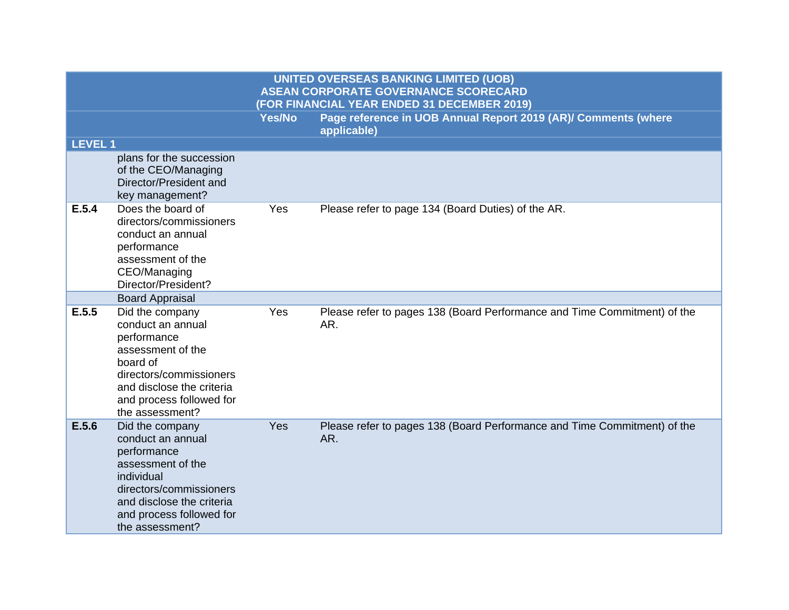|                |                                                                                                                                                                                               |               | <b>UNITED OVERSEAS BANKING LIMITED (UOB)</b><br><b>ASEAN CORPORATE GOVERNANCE SCORECARD</b><br>(FOR FINANCIAL YEAR ENDED 31 DECEMBER 2019) |
|----------------|-----------------------------------------------------------------------------------------------------------------------------------------------------------------------------------------------|---------------|--------------------------------------------------------------------------------------------------------------------------------------------|
|                |                                                                                                                                                                                               | <b>Yes/No</b> | Page reference in UOB Annual Report 2019 (AR)/ Comments (where<br>applicable)                                                              |
| <b>LEVEL 1</b> |                                                                                                                                                                                               |               |                                                                                                                                            |
|                | plans for the succession<br>of the CEO/Managing<br>Director/President and<br>key management?                                                                                                  |               |                                                                                                                                            |
| E.5.4          | Does the board of<br>directors/commissioners<br>conduct an annual<br>performance<br>assessment of the<br>CEO/Managing<br>Director/President?                                                  | Yes           | Please refer to page 134 (Board Duties) of the AR.                                                                                         |
|                | <b>Board Appraisal</b>                                                                                                                                                                        |               |                                                                                                                                            |
| E.5.5          | Did the company<br>conduct an annual<br>performance<br>assessment of the<br>board of<br>directors/commissioners<br>and disclose the criteria<br>and process followed for<br>the assessment?   | Yes           | Please refer to pages 138 (Board Performance and Time Commitment) of the<br>AR.                                                            |
| E.5.6          | Did the company<br>conduct an annual<br>performance<br>assessment of the<br>individual<br>directors/commissioners<br>and disclose the criteria<br>and process followed for<br>the assessment? | Yes           | Please refer to pages 138 (Board Performance and Time Commitment) of the<br>AR.                                                            |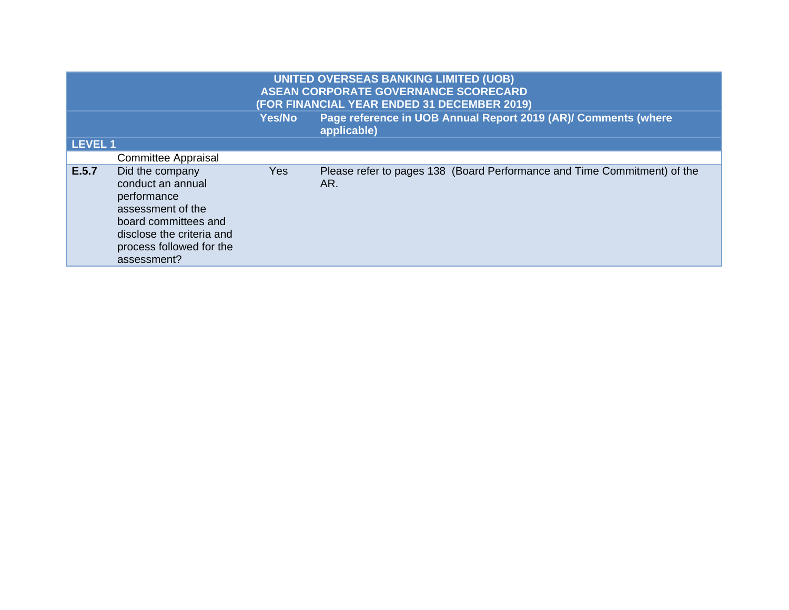|                | <b>UNITED OVERSEAS BANKING LIMITED (UOB)</b><br><b>ASEAN CORPORATE GOVERNANCE SCORECARD</b><br>(FOR FINANCIAL YEAR ENDED 31 DECEMBER 2019)                               |            |                                                                                 |
|----------------|--------------------------------------------------------------------------------------------------------------------------------------------------------------------------|------------|---------------------------------------------------------------------------------|
|                |                                                                                                                                                                          | Yes/No     | Page reference in UOB Annual Report 2019 (AR)/ Comments (where<br>applicable)   |
| <b>LEVEL 1</b> |                                                                                                                                                                          |            |                                                                                 |
|                | <b>Committee Appraisal</b>                                                                                                                                               |            |                                                                                 |
| E.5.7          | Did the company<br>conduct an annual<br>performance<br>assessment of the<br>board committees and<br>disclose the criteria and<br>process followed for the<br>assessment? | <b>Yes</b> | Please refer to pages 138 (Board Performance and Time Commitment) of the<br>AR. |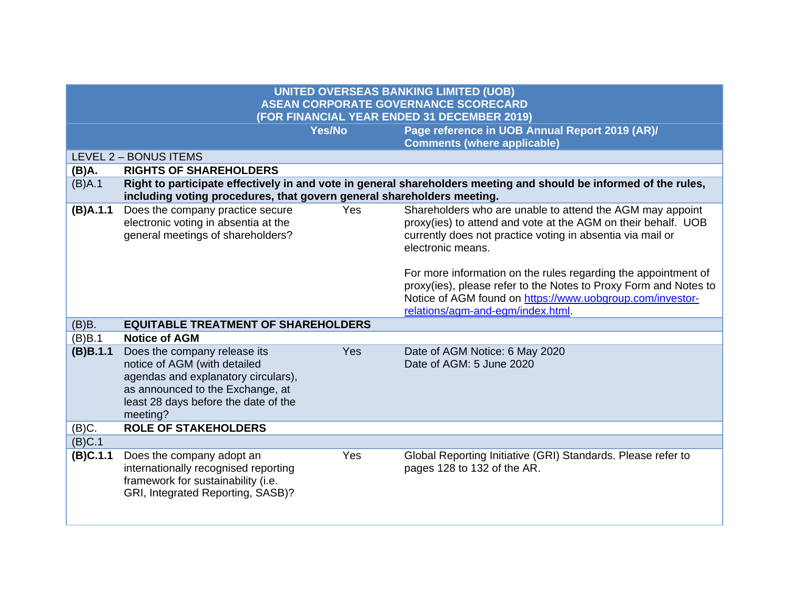| <b>UNITED OVERSEAS BANKING LIMITED (UOB)</b>                                               |                                                                                                                                                                                             |               |                                                                                                                                                                                                                                                                                                                                                                                                                  |  |
|--------------------------------------------------------------------------------------------|---------------------------------------------------------------------------------------------------------------------------------------------------------------------------------------------|---------------|------------------------------------------------------------------------------------------------------------------------------------------------------------------------------------------------------------------------------------------------------------------------------------------------------------------------------------------------------------------------------------------------------------------|--|
| <b>ASEAN CORPORATE GOVERNANCE SCORECARD</b><br>(FOR FINANCIAL YEAR ENDED 31 DECEMBER 2019) |                                                                                                                                                                                             |               |                                                                                                                                                                                                                                                                                                                                                                                                                  |  |
|                                                                                            |                                                                                                                                                                                             | <b>Yes/No</b> | Page reference in UOB Annual Report 2019 (AR)/                                                                                                                                                                                                                                                                                                                                                                   |  |
|                                                                                            |                                                                                                                                                                                             |               | <b>Comments (where applicable)</b>                                                                                                                                                                                                                                                                                                                                                                               |  |
|                                                                                            | LEVEL 2 - BONUS ITEMS                                                                                                                                                                       |               |                                                                                                                                                                                                                                                                                                                                                                                                                  |  |
| (B)A.                                                                                      | <b>RIGHTS OF SHAREHOLDERS</b>                                                                                                                                                               |               |                                                                                                                                                                                                                                                                                                                                                                                                                  |  |
| (B)A.1                                                                                     | Right to participate effectively in and vote in general shareholders meeting and should be informed of the rules,<br>including voting procedures, that govern general shareholders meeting. |               |                                                                                                                                                                                                                                                                                                                                                                                                                  |  |
| (B)A.1.1                                                                                   | Does the company practice secure<br>electronic voting in absentia at the<br>general meetings of shareholders?                                                                               | Yes           | Shareholders who are unable to attend the AGM may appoint<br>proxy(ies) to attend and vote at the AGM on their behalf. UOB<br>currently does not practice voting in absentia via mail or<br>electronic means.<br>For more information on the rules regarding the appointment of<br>proxy(ies), please refer to the Notes to Proxy Form and Notes to<br>Notice of AGM found on https://www.uobgroup.com/investor- |  |
| (B)B.                                                                                      | <b>EQUITABLE TREATMENT OF SHAREHOLDERS</b>                                                                                                                                                  |               | relations/agm-and-egm/index.html.                                                                                                                                                                                                                                                                                                                                                                                |  |
| (B)B.1                                                                                     | <b>Notice of AGM</b>                                                                                                                                                                        |               |                                                                                                                                                                                                                                                                                                                                                                                                                  |  |
| (B)B.1.1                                                                                   | Does the company release its<br>notice of AGM (with detailed<br>agendas and explanatory circulars),<br>as announced to the Exchange, at<br>least 28 days before the date of the<br>meeting? | Yes           | Date of AGM Notice: 6 May 2020<br>Date of AGM: 5 June 2020                                                                                                                                                                                                                                                                                                                                                       |  |
| (B)C.                                                                                      | <b>ROLE OF STAKEHOLDERS</b>                                                                                                                                                                 |               |                                                                                                                                                                                                                                                                                                                                                                                                                  |  |
| (B)C.1                                                                                     |                                                                                                                                                                                             |               |                                                                                                                                                                                                                                                                                                                                                                                                                  |  |
| (B)C.1.1                                                                                   | Does the company adopt an<br>internationally recognised reporting<br>framework for sustainability (i.e.<br>GRI, Integrated Reporting, SASB)?                                                | Yes           | Global Reporting Initiative (GRI) Standards. Please refer to<br>pages 128 to 132 of the AR.                                                                                                                                                                                                                                                                                                                      |  |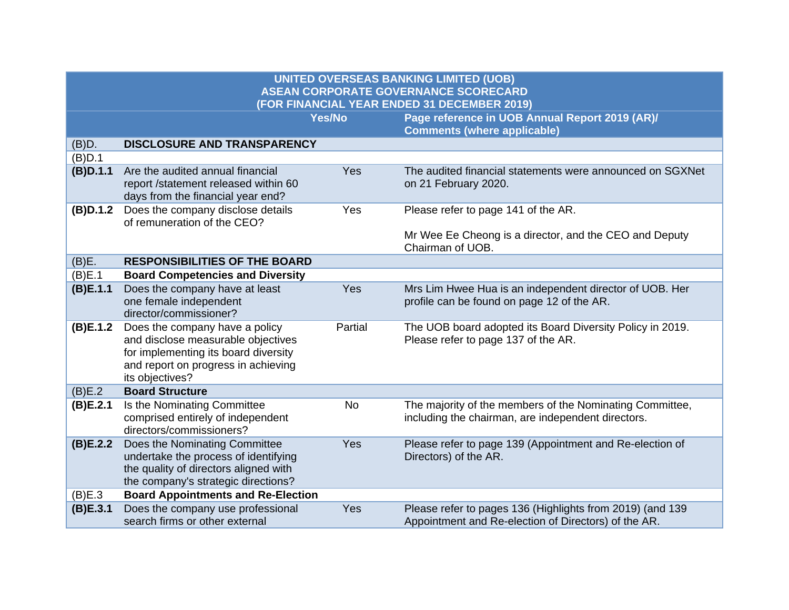| <b>UNITED OVERSEAS BANKING LIMITED (UOB)</b><br><b>ASEAN CORPORATE GOVERNANCE SCORECARD</b><br>(FOR FINANCIAL YEAR ENDED 31 DECEMBER 2019) |                                                                                                                                                                        |               |                                                                                                                   |  |
|--------------------------------------------------------------------------------------------------------------------------------------------|------------------------------------------------------------------------------------------------------------------------------------------------------------------------|---------------|-------------------------------------------------------------------------------------------------------------------|--|
|                                                                                                                                            |                                                                                                                                                                        | <b>Yes/No</b> | Page reference in UOB Annual Report 2019 (AR)/<br><b>Comments (where applicable)</b>                              |  |
| (B)D.                                                                                                                                      | <b>DISCLOSURE AND TRANSPARENCY</b>                                                                                                                                     |               |                                                                                                                   |  |
| (B)D.1                                                                                                                                     |                                                                                                                                                                        |               |                                                                                                                   |  |
| (B)D.1.1                                                                                                                                   | Are the audited annual financial<br>report /statement released within 60<br>days from the financial year end?                                                          | Yes           | The audited financial statements were announced on SGXNet<br>on 21 February 2020.                                 |  |
| (B)D.1.2                                                                                                                                   | Does the company disclose details<br>of remuneration of the CEO?                                                                                                       | Yes           | Please refer to page 141 of the AR.                                                                               |  |
|                                                                                                                                            |                                                                                                                                                                        |               | Mr Wee Ee Cheong is a director, and the CEO and Deputy<br>Chairman of UOB.                                        |  |
| (B)E.                                                                                                                                      | <b>RESPONSIBILITIES OF THE BOARD</b>                                                                                                                                   |               |                                                                                                                   |  |
| (B)E.1                                                                                                                                     | <b>Board Competencies and Diversity</b>                                                                                                                                |               |                                                                                                                   |  |
| (B)E.1.1                                                                                                                                   | Does the company have at least<br>one female independent<br>director/commissioner?                                                                                     | Yes           | Mrs Lim Hwee Hua is an independent director of UOB. Her<br>profile can be found on page 12 of the AR.             |  |
| (B)E.1.2                                                                                                                                   | Does the company have a policy<br>and disclose measurable objectives<br>for implementing its board diversity<br>and report on progress in achieving<br>its objectives? | Partial       | The UOB board adopted its Board Diversity Policy in 2019.<br>Please refer to page 137 of the AR.                  |  |
| (B)E.2                                                                                                                                     | <b>Board Structure</b>                                                                                                                                                 |               |                                                                                                                   |  |
| (B)E.2.1                                                                                                                                   | Is the Nominating Committee<br>comprised entirely of independent<br>directors/commissioners?                                                                           | <b>No</b>     | The majority of the members of the Nominating Committee,<br>including the chairman, are independent directors.    |  |
| (B)E.2.2                                                                                                                                   | Does the Nominating Committee<br>undertake the process of identifying<br>the quality of directors aligned with<br>the company's strategic directions?                  | Yes           | Please refer to page 139 (Appointment and Re-election of<br>Directors) of the AR.                                 |  |
| (B)E.3                                                                                                                                     | <b>Board Appointments and Re-Election</b>                                                                                                                              |               |                                                                                                                   |  |
| (B)E.3.1                                                                                                                                   | Does the company use professional<br>search firms or other external                                                                                                    | Yes           | Please refer to pages 136 (Highlights from 2019) (and 139<br>Appointment and Re-election of Directors) of the AR. |  |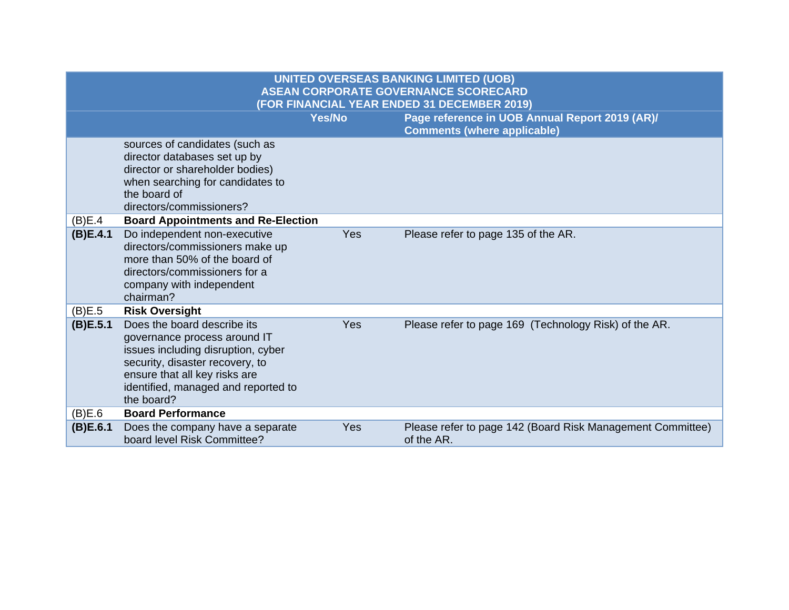| <b>UNITED OVERSEAS BANKING LIMITED (UOB)</b><br><b>ASEAN CORPORATE GOVERNANCE SCORECARD</b><br>(FOR FINANCIAL YEAR ENDED 31 DECEMBER 2019) |                                                                                                                                                                                                                            |               |                                                                                      |  |
|--------------------------------------------------------------------------------------------------------------------------------------------|----------------------------------------------------------------------------------------------------------------------------------------------------------------------------------------------------------------------------|---------------|--------------------------------------------------------------------------------------|--|
|                                                                                                                                            |                                                                                                                                                                                                                            | <b>Yes/No</b> | Page reference in UOB Annual Report 2019 (AR)/<br><b>Comments (where applicable)</b> |  |
|                                                                                                                                            | sources of candidates (such as<br>director databases set up by<br>director or shareholder bodies)<br>when searching for candidates to<br>the board of<br>directors/commissioners?                                          |               |                                                                                      |  |
| (B)E.4<br>(B)E.4.1                                                                                                                         | <b>Board Appointments and Re-Election</b><br>Do independent non-executive<br>directors/commissioners make up<br>more than 50% of the board of<br>directors/commissioners for a<br>company with independent<br>chairman?    | Yes           | Please refer to page 135 of the AR.                                                  |  |
| (B)E.5                                                                                                                                     | <b>Risk Oversight</b>                                                                                                                                                                                                      |               |                                                                                      |  |
| (B)E.5.1                                                                                                                                   | Does the board describe its<br>governance process around IT<br>issues including disruption, cyber<br>security, disaster recovery, to<br>ensure that all key risks are<br>identified, managed and reported to<br>the board? | Yes           | Please refer to page 169 (Technology Risk) of the AR.                                |  |
| (B)E.6                                                                                                                                     | <b>Board Performance</b>                                                                                                                                                                                                   |               |                                                                                      |  |
| (B)E.6.1                                                                                                                                   | Does the company have a separate<br>board level Risk Committee?                                                                                                                                                            | Yes           | Please refer to page 142 (Board Risk Management Committee)<br>of the AR.             |  |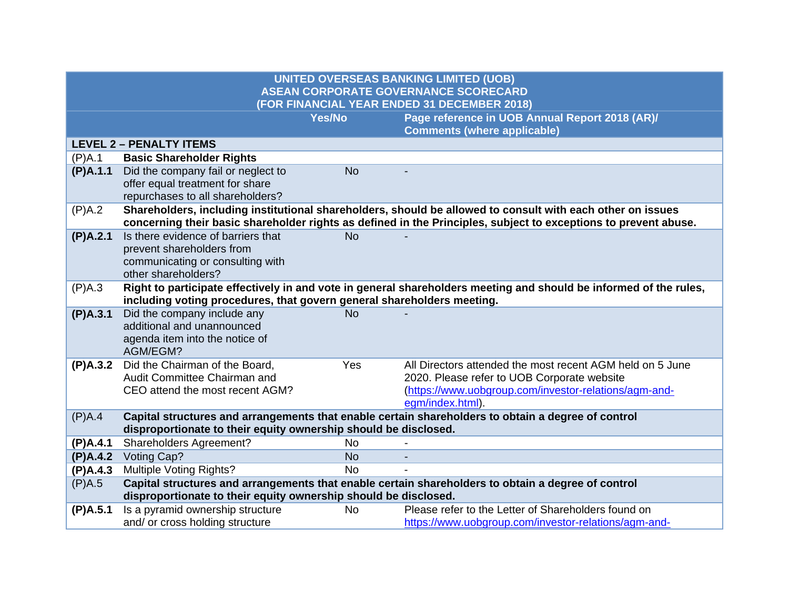| <b>UNITED OVERSEAS BANKING LIMITED (UOB)</b><br><b>ASEAN CORPORATE GOVERNANCE SCORECARD</b><br>(FOR FINANCIAL YEAR ENDED 31 DECEMBER 2018) |                                                                                                                                                                                                                               |               |                                                                                                                   |  |
|--------------------------------------------------------------------------------------------------------------------------------------------|-------------------------------------------------------------------------------------------------------------------------------------------------------------------------------------------------------------------------------|---------------|-------------------------------------------------------------------------------------------------------------------|--|
|                                                                                                                                            |                                                                                                                                                                                                                               | <b>Yes/No</b> | Page reference in UOB Annual Report 2018 (AR)/<br><b>Comments (where applicable)</b>                              |  |
|                                                                                                                                            | <b>LEVEL 2 - PENALTY ITEMS</b>                                                                                                                                                                                                |               |                                                                                                                   |  |
| (P)A.1                                                                                                                                     | <b>Basic Shareholder Rights</b>                                                                                                                                                                                               |               |                                                                                                                   |  |
| (P)A.1.1                                                                                                                                   | Did the company fail or neglect to                                                                                                                                                                                            | <b>No</b>     |                                                                                                                   |  |
|                                                                                                                                            | offer equal treatment for share                                                                                                                                                                                               |               |                                                                                                                   |  |
|                                                                                                                                            | repurchases to all shareholders?                                                                                                                                                                                              |               |                                                                                                                   |  |
| (P)A.2                                                                                                                                     | Shareholders, including institutional shareholders, should be allowed to consult with each other on issues<br>concerning their basic shareholder rights as defined in the Principles, subject to exceptions to prevent abuse. |               |                                                                                                                   |  |
| (P)A.2.1                                                                                                                                   | Is there evidence of barriers that                                                                                                                                                                                            | <b>No</b>     |                                                                                                                   |  |
|                                                                                                                                            | prevent shareholders from                                                                                                                                                                                                     |               |                                                                                                                   |  |
|                                                                                                                                            | communicating or consulting with<br>other shareholders?                                                                                                                                                                       |               |                                                                                                                   |  |
| (P)A.3                                                                                                                                     |                                                                                                                                                                                                                               |               | Right to participate effectively in and vote in general shareholders meeting and should be informed of the rules, |  |
|                                                                                                                                            | including voting procedures, that govern general shareholders meeting.                                                                                                                                                        |               |                                                                                                                   |  |
| (P)A.3.1                                                                                                                                   | Did the company include any                                                                                                                                                                                                   | <b>No</b>     |                                                                                                                   |  |
|                                                                                                                                            | additional and unannounced                                                                                                                                                                                                    |               |                                                                                                                   |  |
|                                                                                                                                            | agenda item into the notice of                                                                                                                                                                                                |               |                                                                                                                   |  |
|                                                                                                                                            | AGM/EGM?                                                                                                                                                                                                                      |               |                                                                                                                   |  |
| (P)A.3.2                                                                                                                                   | Did the Chairman of the Board,                                                                                                                                                                                                | Yes           | All Directors attended the most recent AGM held on 5 June                                                         |  |
|                                                                                                                                            | Audit Committee Chairman and<br>CEO attend the most recent AGM?                                                                                                                                                               |               | 2020. Please refer to UOB Corporate website<br>(https://www.uobgroup.com/investor-relations/agm-and-              |  |
|                                                                                                                                            |                                                                                                                                                                                                                               |               | egm/index.html).                                                                                                  |  |
| (P)A.4                                                                                                                                     |                                                                                                                                                                                                                               |               | Capital structures and arrangements that enable certain shareholders to obtain a degree of control                |  |
|                                                                                                                                            | disproportionate to their equity ownership should be disclosed.                                                                                                                                                               |               |                                                                                                                   |  |
| (P)A.4.1                                                                                                                                   | Shareholders Agreement?                                                                                                                                                                                                       | <b>No</b>     |                                                                                                                   |  |
| (P)A.4.2                                                                                                                                   | Voting Cap?                                                                                                                                                                                                                   | <b>No</b>     |                                                                                                                   |  |
| (P)A.4.3                                                                                                                                   | Multiple Voting Rights?                                                                                                                                                                                                       | <b>No</b>     |                                                                                                                   |  |
| (P)A.5                                                                                                                                     | Capital structures and arrangements that enable certain shareholders to obtain a degree of control                                                                                                                            |               |                                                                                                                   |  |
|                                                                                                                                            | disproportionate to their equity ownership should be disclosed.                                                                                                                                                               |               |                                                                                                                   |  |
| (P)A.5.1                                                                                                                                   | Is a pyramid ownership structure                                                                                                                                                                                              | <b>No</b>     | Please refer to the Letter of Shareholders found on                                                               |  |
|                                                                                                                                            | and/ or cross holding structure                                                                                                                                                                                               |               | https://www.uobgroup.com/investor-relations/agm-and-                                                              |  |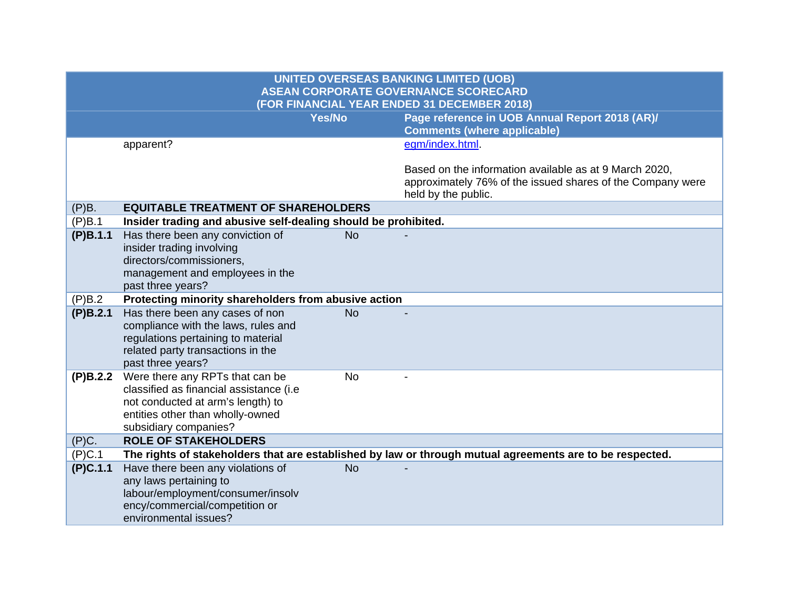| <b>UNITED OVERSEAS BANKING LIMITED (UOB)</b><br><b>ASEAN CORPORATE GOVERNANCE SCORECARD</b><br>(FOR FINANCIAL YEAR ENDED 31 DECEMBER 2018) |                                                                                                                                                                              |               |                                                                                                                                             |  |
|--------------------------------------------------------------------------------------------------------------------------------------------|------------------------------------------------------------------------------------------------------------------------------------------------------------------------------|---------------|---------------------------------------------------------------------------------------------------------------------------------------------|--|
|                                                                                                                                            |                                                                                                                                                                              | <b>Yes/No</b> | Page reference in UOB Annual Report 2018 (AR)/<br><b>Comments (where applicable)</b>                                                        |  |
|                                                                                                                                            | apparent?                                                                                                                                                                    |               | egm/index.html                                                                                                                              |  |
|                                                                                                                                            |                                                                                                                                                                              |               | Based on the information available as at 9 March 2020,<br>approximately 76% of the issued shares of the Company were<br>held by the public. |  |
| (P)B.                                                                                                                                      | <b>EQUITABLE TREATMENT OF SHAREHOLDERS</b>                                                                                                                                   |               |                                                                                                                                             |  |
| (P)B.1                                                                                                                                     | Insider trading and abusive self-dealing should be prohibited.                                                                                                               |               |                                                                                                                                             |  |
| (P)B.1.1                                                                                                                                   | Has there been any conviction of<br>insider trading involving<br>directors/commissioners,<br>management and employees in the<br>past three years?                            | <b>No</b>     |                                                                                                                                             |  |
| (P)B.2                                                                                                                                     | Protecting minority shareholders from abusive action                                                                                                                         |               |                                                                                                                                             |  |
| (P)B.2.1                                                                                                                                   | Has there been any cases of non<br>compliance with the laws, rules and<br>regulations pertaining to material<br>related party transactions in the<br>past three years?       | <b>No</b>     |                                                                                                                                             |  |
| (P)B.2.2                                                                                                                                   | Were there any RPTs that can be<br>classified as financial assistance (i.e<br>not conducted at arm's length) to<br>entities other than wholly-owned<br>subsidiary companies? | <b>No</b>     |                                                                                                                                             |  |
| (P)C.                                                                                                                                      | <b>ROLE OF STAKEHOLDERS</b>                                                                                                                                                  |               |                                                                                                                                             |  |
| (P)C.1                                                                                                                                     |                                                                                                                                                                              |               | The rights of stakeholders that are established by law or through mutual agreements are to be respected.                                    |  |
| (P)C.1.1                                                                                                                                   | Have there been any violations of<br>any laws pertaining to<br>labour/employment/consumer/insolv<br>ency/commercial/competition or<br>environmental issues?                  | <b>No</b>     |                                                                                                                                             |  |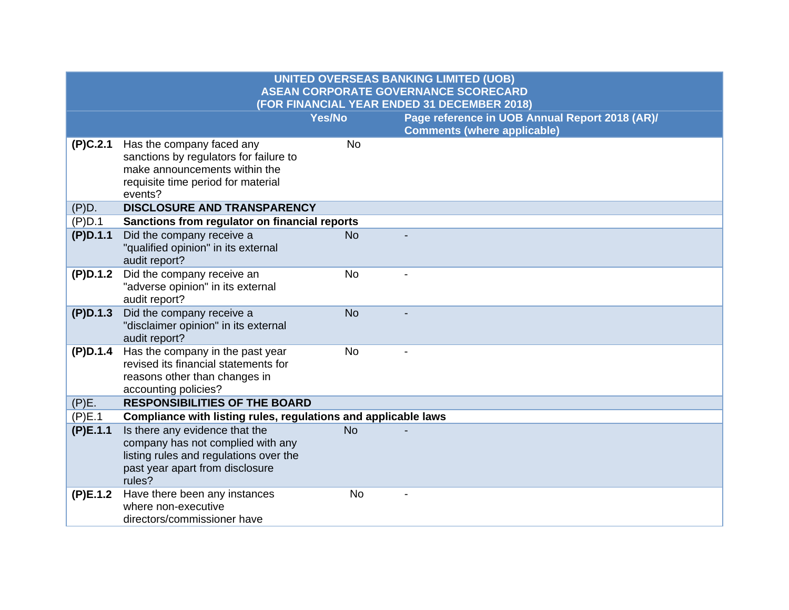| <b>UNITED OVERSEAS BANKING LIMITED (UOB)</b><br><b>ASEAN CORPORATE GOVERNANCE SCORECARD</b><br>(FOR FINANCIAL YEAR ENDED 31 DECEMBER 2018) |                                                                                                                                                            |               |                                                                                      |
|--------------------------------------------------------------------------------------------------------------------------------------------|------------------------------------------------------------------------------------------------------------------------------------------------------------|---------------|--------------------------------------------------------------------------------------|
|                                                                                                                                            |                                                                                                                                                            | <b>Yes/No</b> | Page reference in UOB Annual Report 2018 (AR)/<br><b>Comments (where applicable)</b> |
| (P)C.2.1                                                                                                                                   | Has the company faced any<br>sanctions by regulators for failure to<br>make announcements within the<br>requisite time period for material<br>events?      | <b>No</b>     |                                                                                      |
| (P)D.                                                                                                                                      | <b>DISCLOSURE AND TRANSPARENCY</b>                                                                                                                         |               |                                                                                      |
| (P)D.1                                                                                                                                     | Sanctions from regulator on financial reports                                                                                                              |               |                                                                                      |
| (P)D.1.1                                                                                                                                   | Did the company receive a<br>"qualified opinion" in its external<br>audit report?                                                                          | <b>No</b>     |                                                                                      |
| (P)D.1.2                                                                                                                                   | Did the company receive an<br>"adverse opinion" in its external<br>audit report?                                                                           | <b>No</b>     |                                                                                      |
| (P)D.1.3                                                                                                                                   | Did the company receive a<br>"disclaimer opinion" in its external<br>audit report?                                                                         | <b>No</b>     |                                                                                      |
| (P)D.1.4                                                                                                                                   | Has the company in the past year<br>revised its financial statements for<br>reasons other than changes in<br>accounting policies?                          | <b>No</b>     |                                                                                      |
| (P)E.                                                                                                                                      | <b>RESPONSIBILITIES OF THE BOARD</b>                                                                                                                       |               |                                                                                      |
| (P)E.1                                                                                                                                     | Compliance with listing rules, regulations and applicable laws                                                                                             |               |                                                                                      |
| (P)E.1.1                                                                                                                                   | Is there any evidence that the<br>company has not complied with any<br>listing rules and regulations over the<br>past year apart from disclosure<br>rules? | <b>No</b>     |                                                                                      |
| (P)E.1.2                                                                                                                                   | Have there been any instances<br>where non-executive<br>directors/commissioner have                                                                        | <b>No</b>     |                                                                                      |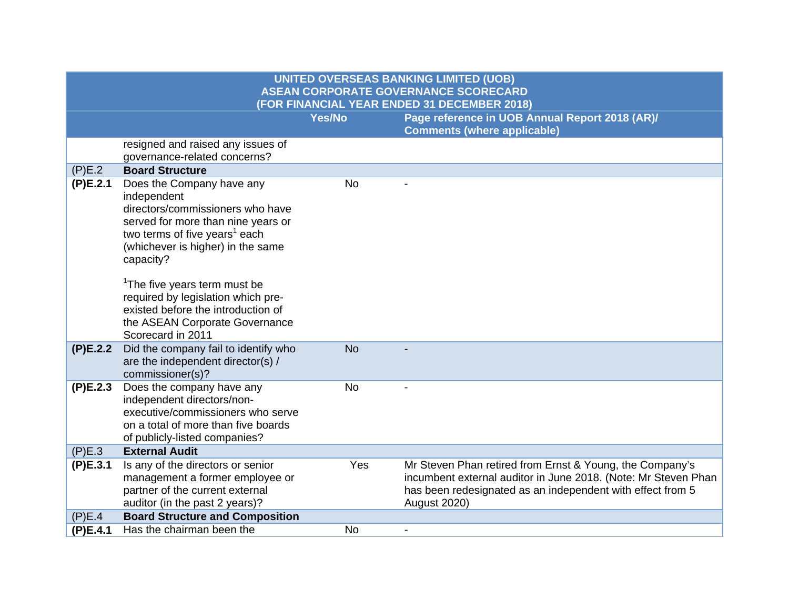| <b>UNITED OVERSEAS BANKING LIMITED (UOB)</b><br><b>ASEAN CORPORATE GOVERNANCE SCORECARD</b><br>(FOR FINANCIAL YEAR ENDED 31 DECEMBER 2018) |                                                                                                                                                                                                                                                                                                                                                                                                  |           |                                                                                                                                                                                                                 |
|--------------------------------------------------------------------------------------------------------------------------------------------|--------------------------------------------------------------------------------------------------------------------------------------------------------------------------------------------------------------------------------------------------------------------------------------------------------------------------------------------------------------------------------------------------|-----------|-----------------------------------------------------------------------------------------------------------------------------------------------------------------------------------------------------------------|
|                                                                                                                                            |                                                                                                                                                                                                                                                                                                                                                                                                  | Yes/No    | Page reference in UOB Annual Report 2018 (AR)/<br><b>Comments (where applicable)</b>                                                                                                                            |
|                                                                                                                                            | resigned and raised any issues of<br>governance-related concerns?                                                                                                                                                                                                                                                                                                                                |           |                                                                                                                                                                                                                 |
| (P)E.2                                                                                                                                     | <b>Board Structure</b>                                                                                                                                                                                                                                                                                                                                                                           |           |                                                                                                                                                                                                                 |
| (P)E.2.1                                                                                                                                   | Does the Company have any<br>independent<br>directors/commissioners who have<br>served for more than nine years or<br>two terms of five years <sup>1</sup> each<br>(whichever is higher) in the same<br>capacity?<br><sup>1</sup> The five years term must be<br>required by legislation which pre-<br>existed before the introduction of<br>the ASEAN Corporate Governance<br>Scorecard in 2011 | No        |                                                                                                                                                                                                                 |
| (P)E.2.2                                                                                                                                   | Did the company fail to identify who<br>are the independent director(s) /<br>commissioner(s)?                                                                                                                                                                                                                                                                                                    | <b>No</b> |                                                                                                                                                                                                                 |
| (P)E.2.3                                                                                                                                   | Does the company have any<br>independent directors/non-<br>executive/commissioners who serve<br>on a total of more than five boards<br>of publicly-listed companies?                                                                                                                                                                                                                             | <b>No</b> |                                                                                                                                                                                                                 |
| (P)E.3                                                                                                                                     | <b>External Audit</b>                                                                                                                                                                                                                                                                                                                                                                            |           |                                                                                                                                                                                                                 |
| (P)E.3.1                                                                                                                                   | Is any of the directors or senior<br>management a former employee or<br>partner of the current external<br>auditor (in the past 2 years)?                                                                                                                                                                                                                                                        | Yes       | Mr Steven Phan retired from Ernst & Young, the Company's<br>incumbent external auditor in June 2018. (Note: Mr Steven Phan<br>has been redesignated as an independent with effect from 5<br><b>August 2020)</b> |
| (P)E.4                                                                                                                                     | <b>Board Structure and Composition</b>                                                                                                                                                                                                                                                                                                                                                           |           |                                                                                                                                                                                                                 |
| (P)E.4.1                                                                                                                                   | Has the chairman been the                                                                                                                                                                                                                                                                                                                                                                        | <b>No</b> |                                                                                                                                                                                                                 |